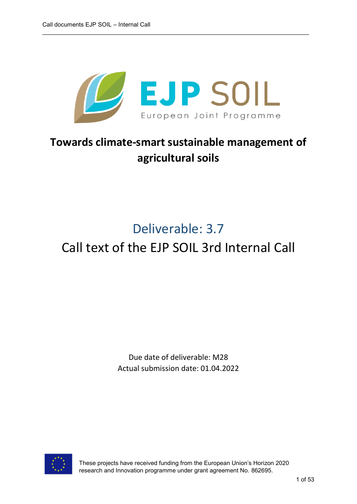

# **Towards climate-smart sustainable management of agricultural soils**

# Deliverable: 3.7

# Call text of the EJP SOIL 3rd Internal Call

Due date of deliverable: M28 Actual submission date: 01.04.2022



These projects have received funding from the European Union's Horizon 2020 research and Innovation programme under grant agreement No. 862695.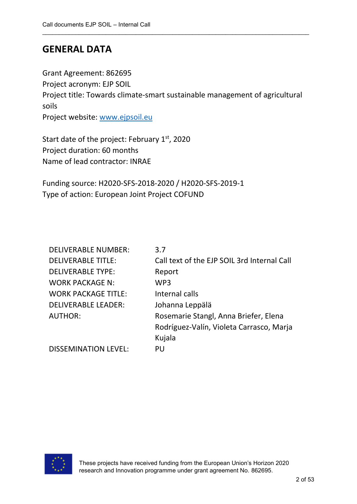# **GENERAL DATA**

Grant Agreement: 862695 Project acronym: EJP SOIL Project title: Towards climate-smart sustainable management of agricultural soils Project website: [www.ejpsoil.eu](http://www.ejpsoil.eu/)

\_\_\_\_\_\_\_\_\_\_\_\_\_\_\_\_\_\_\_\_\_\_\_\_\_\_\_\_\_\_\_\_\_\_\_\_\_\_\_\_\_\_\_\_\_\_\_\_\_\_\_\_\_\_\_\_\_\_\_\_\_\_\_\_\_\_\_\_\_\_\_\_\_\_\_\_\_\_\_\_

Start date of the project: February  $1<sup>st</sup>$ , 2020 Project duration: 60 months Name of lead contractor: INRAE

Funding source: H2020-SFS-2018-2020 / H2020-SFS-2019-1 Type of action: European Joint Project COFUND

| <b>DELIVERABLE NUMBER:</b>  | 3.7                                         |
|-----------------------------|---------------------------------------------|
| <b>DELIVERABLE TITLE:</b>   | Call text of the EJP SOIL 3rd Internal Call |
| <b>DELIVERABLE TYPE:</b>    | Report                                      |
| <b>WORK PACKAGE N:</b>      | WP <sub>3</sub>                             |
| <b>WORK PACKAGE TITLE:</b>  | Internal calls                              |
| <b>DELIVERABLE LEADER:</b>  | Johanna Leppälä                             |
| <b>AUTHOR:</b>              | Rosemarie Stangl, Anna Briefer, Elena       |
|                             | Rodríguez-Valín, Violeta Carrasco, Marja    |
|                             | Kujala                                      |
| <b>DISSEMINATION LEVEL:</b> | PU                                          |

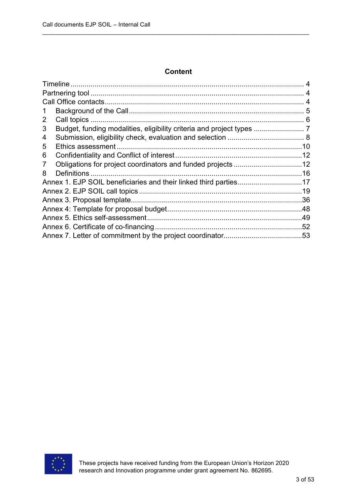## **Content**

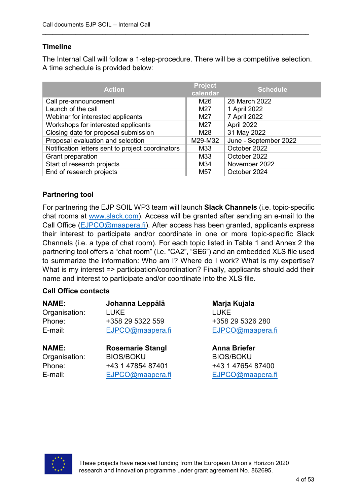# **Timeline**

The Internal Call will follow a 1-step-procedure. There will be a competitive selection. A time schedule is provided below:

\_\_\_\_\_\_\_\_\_\_\_\_\_\_\_\_\_\_\_\_\_\_\_\_\_\_\_\_\_\_\_\_\_\_\_\_\_\_\_\_\_\_\_\_\_\_\_\_\_\_\_\_\_\_\_\_\_\_\_\_\_\_\_\_\_\_\_\_\_\_\_\_\_\_\_\_\_\_\_\_

| <b>Action</b>                                     | <b>Project</b><br>calendar | <b>Schedule</b>       |
|---------------------------------------------------|----------------------------|-----------------------|
| Call pre-announcement                             | M26                        | 28 March 2022         |
| Launch of the call                                | M27                        | 1 April 2022          |
| Webinar for interested applicants                 | M27                        | 7 April 2022          |
| Workshops for interested applicants               | M27                        | April 2022            |
| Closing date for proposal submission              | M28                        | 31 May 2022           |
| Proposal evaluation and selection                 | M29-M32                    | June - September 2022 |
| Notification letters sent to project coordinators | M33                        | October 2022          |
| Grant preparation                                 | M33                        | October 2022          |
| Start of research projects                        | M34                        | November 2022         |
| End of research projects                          | M <sub>57</sub>            | October 2024          |

# **Partnering tool**

For partnering the EJP SOIL WP3 team will launch **Slack Channels** (i.e. topic-specific chat rooms at [www.slack.com\)](http://www.slack.com/). Access will be granted after sending an e-mail to the Call Office [\(EJPCO@maapera.fi\)](mailto:EJPCO@maapera.fi). After access has been granted, applicants express their interest to participate and/or coordinate in one or more topic-specific Slack Channels (i.e. a type of chat room). For each topic listed in Table 1 and Annex 2 the partnering tool offers a "chat room" (i.e. "CA2", "SE6") and an embedded XLS file used to summarize the information: Who am I? Where do I work? What is my expertise? What is my interest => participation/coordination? Finally, applicants should add their name and interest to participate and/or coordinate into the XLS file.

#### **Call Office contacts**

| <b>NAME:</b><br>Organisation:<br>Phone:<br>E-mail: | Johanna Leppälä<br><b>LUKE</b><br>+358 29 5322 559<br>EJPCO@maapera.fi | Marja Kujala<br><b>LUKE</b><br>+358 29 5326 280<br>EJPCO@maapera.fi |
|----------------------------------------------------|------------------------------------------------------------------------|---------------------------------------------------------------------|
| <b>NAME:</b>                                       | <b>Rosemarie Stangl</b>                                                | <b>Anna Briefer</b>                                                 |
| Organisation:                                      | <b>BIOS/BOKU</b>                                                       | <b>BIOS/BOKU</b>                                                    |
| Phone:                                             | +43 1 47854 87401                                                      | +43 1 47654 87400                                                   |
| E-mail:                                            | EJPCO@maapera.fi                                                       | EJPCO@maapera.fi                                                    |

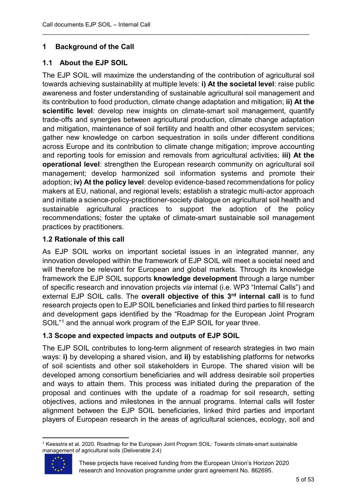# **1 Background of the Call**

# **1.1 About the EJP SOIL**

The EJP SOIL will maximize the understanding of the contribution of agricultural soil towards achieving sustainability at multiple levels: **i) At the societal level**: raise public awareness and foster understanding of sustainable agricultural soil management and its contribution to food production, climate change adaptation and mitigation; **ii) At the scientific level**: develop new insights on climate-smart soil management, quantify trade-offs and synergies between agricultural production, climate change adaptation and mitigation, maintenance of soil fertility and health and other ecosystem services; gather new knowledge on carbon sequestration in soils under different conditions across Europe and its contribution to climate change mitigation; improve accounting and reporting tools for emission and removals from agricultural activities; **iii) At the operational level**: strengthen the European research community on agricultural soil management; develop harmonized soil information systems and promote their adoption; **iv) At the policy level**: develop evidence-based recommendations for policy makers at EU, national, and regional levels; establish a strategic multi-actor approach and initiate a science-policy-practitioner-society dialogue on agricultural soil health and sustainable agricultural practices to support the adoption of the policy recommendations; foster the uptake of climate-smart sustainable soil management practices by practitioners.

\_\_\_\_\_\_\_\_\_\_\_\_\_\_\_\_\_\_\_\_\_\_\_\_\_\_\_\_\_\_\_\_\_\_\_\_\_\_\_\_\_\_\_\_\_\_\_\_\_\_\_\_\_\_\_\_\_\_\_\_\_\_\_\_\_\_\_\_\_\_\_\_\_\_\_\_\_\_\_\_

# **1.2 Rationale of this call**

As EJP SOIL works on important societal issues in an integrated manner, any innovation developed within the framework of EJP SOIL will meet a societal need and will therefore be relevant for European and global markets. Through its knowledge framework the EJP SOIL supports **knowledge development** through a large number of specific research and innovation projects *via* internal (i.e. WP3 "Internal Calls") and external EJP SOIL calls. The **overall objective of this 3rd internal call** is to fund research projects open to EJP SOIL beneficiaries and linked third parties to fill research and development gaps identified by the "Roadmap for the European Joint Program SOIL"<sup>[1](#page-4-0)</sup> and the annual work program of the EJP SOIL for year three.

# **1.3 Scope and expected impacts and outputs of EJP SOIL**

The EJP SOIL contributes to long-term alignment of research strategies in two main ways: **i)** by developing a shared vision, and **ii)** by establishing platforms for networks of soil scientists and other soil stakeholders in Europe. The shared vision will be developed among consortium beneficiaries and will address desirable soil properties and ways to attain them. This process was initiated during the preparation of the proposal and continues with the update of a roadmap for soil research, setting objectives, actions and milestones in the annual programs. Internal calls will foster alignment between the EJP SOIL beneficiaries, linked third parties and important players of European research in the areas of agricultural sciences, ecology, soil and

<span id="page-4-0"></span> <sup>1</sup> Keesstra et al. 2020. Roadmap for the European Joint Program SOIL: Towards climate-smart sustainable management of agricultural soils (Deliverable 2.4)



These projects have received funding from the European Union's Horizon 2020 research and Innovation programme under grant agreement No. 862695.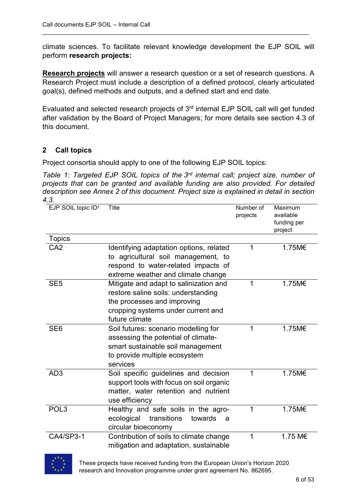climate sciences. To facilitate relevant knowledge development the EJP SOIL will perform **research projects:**

\_\_\_\_\_\_\_\_\_\_\_\_\_\_\_\_\_\_\_\_\_\_\_\_\_\_\_\_\_\_\_\_\_\_\_\_\_\_\_\_\_\_\_\_\_\_\_\_\_\_\_\_\_\_\_\_\_\_\_\_\_\_\_\_\_\_\_\_\_\_\_\_\_\_\_\_\_\_\_\_

**Research projects** will answer a research question or a set of research questions. A Research Project must include a description of a defined protocol, clearly articulated goal(s), defined methods and outputs, and a defined start and end date.

Evaluated and selected research projects of 3rd internal EJP SOIL call will get funded after validation by the Board of Project Managers; for more details see section 4.3 of this document.

# **2 Call topics**

Project consortia should apply to one of the following EJP SOIL topics:

*Table 1: Targeted EJP SOIL topics of the 3rd internal call; project size, number of projects that can be granted and available funding are also provided. For detailed description see Annex 2 of this document. Project size is explained in detail in section 4.3.*

| EJP SOIL topic ID <sup>+</sup> | <b>Title</b>                                                                      | Number of<br>projects | Maximum<br>available<br>funding per<br>project |
|--------------------------------|-----------------------------------------------------------------------------------|-----------------------|------------------------------------------------|
| <b>Topics</b>                  |                                                                                   |                       |                                                |
| CA <sub>2</sub>                | Identifying adaptation options, related                                           | 1                     | 1.75M€                                         |
|                                | to agricultural soil management, to                                               |                       |                                                |
|                                | respond to water-related impacts of                                               |                       |                                                |
|                                | extreme weather and climate change                                                |                       |                                                |
| SE <sub>5</sub>                | Mitigate and adapt to salinization and                                            | 1                     | 1.75M€                                         |
|                                | restore saline soils: understanding                                               |                       |                                                |
|                                | the processes and improving                                                       |                       |                                                |
|                                | cropping systems under current and                                                |                       |                                                |
|                                | future climate                                                                    |                       |                                                |
| SE <sub>6</sub>                | Soil futures: scenario modelling for                                              | 1                     | 1.75M€                                         |
|                                | assessing the potential of climate-                                               |                       |                                                |
|                                | smart sustainable soil management                                                 |                       |                                                |
|                                | to provide multiple ecosystem                                                     |                       |                                                |
|                                | services                                                                          |                       |                                                |
| AD <sub>3</sub>                | Soil specific guidelines and decision                                             | 1                     | 1.75M€                                         |
|                                | support tools with focus on soil organic                                          |                       |                                                |
|                                | matter, water retention and nutrient                                              |                       |                                                |
|                                | use efficiency                                                                    |                       |                                                |
| POL <sub>3</sub>               | Healthy and safe soils in the agro-                                               | 1                     | 1.75M€                                         |
|                                | transitions<br>ecological<br>towards<br>a                                         |                       |                                                |
|                                | circular bioeconomy                                                               |                       |                                                |
| CA4/SP3-1                      | Contribution of soils to climate change<br>mitigation and adaptation, sustainable | 1                     | 1.75 M€                                        |
|                                |                                                                                   |                       |                                                |



These projects have received funding from the European Union's Horizon 2020 research and Innovation programme under grant agreement No. 862695.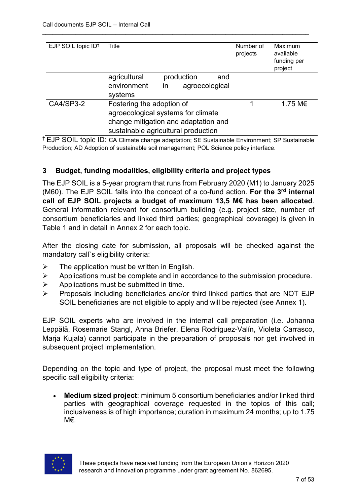| EJP SOIL topic ID <sup>+</sup> | Title                                                                                                                                          | Number of<br>projects | Maximum<br>available<br>funding per<br>project |
|--------------------------------|------------------------------------------------------------------------------------------------------------------------------------------------|-----------------------|------------------------------------------------|
|                                | production<br>agricultural<br>and<br>environment<br>agroecological<br>in<br>systems                                                            |                       |                                                |
| CA4/SP3-2                      | Fostering the adoption of<br>agroecological systems for climate<br>change mitigation and adaptation and<br>sustainable agricultural production |                       | 1.75 M€                                        |

† EJP SOIL topic ID: CA Climate change adaptation; SE Sustainable Environment; SP Sustainable Production; AD Adoption of sustainable soil management; POL Science policy interface.

# **3 Budget, funding modalities, eligibility criteria and project types**

The EJP SOIL is a 5-year program that runs from February 2020 (M1) to January 2025 (M60). The EJP SOIL falls into the concept of a co-fund action. **For the 3rd internal call of EJP SOIL projects a budget of maximum 13,5 M€ has been allocated**. General information relevant for consortium building (e.g. project size, number of consortium beneficiaries and linked third parties; geographical coverage) is given in Table 1 and in detail in Annex 2 for each topic.

After the closing date for submission, all proposals will be checked against the mandatory call`s eligibility criteria:

- $\triangleright$  The application must be written in English.
- $\triangleright$  Applications must be complete and in accordance to the submission procedure.
- $\triangleright$  Applications must be submitted in time.
- $\triangleright$  Proposals including beneficiaries and/or third linked parties that are NOT EJP SOIL beneficiaries are not eligible to apply and will be rejected (see Annex 1).

EJP SOIL experts who are involved in the internal call preparation (i.e. Johanna Leppälä, Rosemarie Stangl, Anna Briefer, Elena Rodríguez-Valín, Violeta Carrasco, Maria Kujala) cannot participate in the preparation of proposals nor get involved in subsequent project implementation.

Depending on the topic and type of project, the proposal must meet the following specific call eligibility criteria:

• **Medium sized project**: minimum 5 consortium beneficiaries and/or linked third parties with geographical coverage requested in the topics of this call; inclusiveness is of high importance; duration in maximum 24 months; up to 1.75 M€.

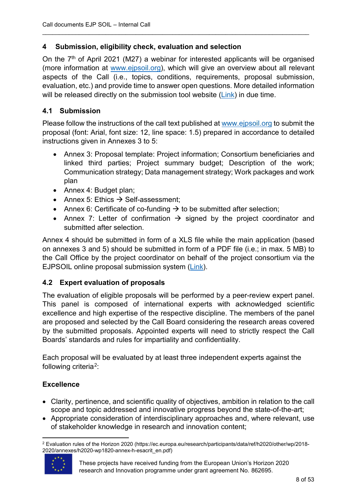# **4 Submission, eligibility check, evaluation and selection**

On the  $7<sup>th</sup>$  of April 2021 (M27) a webinar for interested applicants will be organised (more information at [www.ejpsoil.org\)](http://www.ejpsoil.org/), which will give an overview about all relevant aspects of the Call (i.e., topics, conditions, requirements, proposal submission, evaluation, etc.) and provide time to answer open questions. More detailed information will be released directly on the submission tool website [\(Link\)](https://www.lyyti.fi/reg/EJPSOIL_3rd_internal_call) in due time.

\_\_\_\_\_\_\_\_\_\_\_\_\_\_\_\_\_\_\_\_\_\_\_\_\_\_\_\_\_\_\_\_\_\_\_\_\_\_\_\_\_\_\_\_\_\_\_\_\_\_\_\_\_\_\_\_\_\_\_\_\_\_\_\_\_\_\_\_\_\_\_\_\_\_\_\_\_\_\_\_

# **4.1 Submission**

Please follow the instructions of the call text published at [www.ejpsoil.org](http://www.ejpsoil.org/) to submit the proposal (font: Arial, font size: 12, line space: 1.5) prepared in accordance to detailed instructions given in Annexes 3 to 5:

- Annex 3: Proposal template: Project information; Consortium beneficiaries and linked third parties; Project summary budget; Description of the work; Communication strategy; Data management strategy; Work packages and work plan
- Annex 4: Budget plan;
- Annex 5: Ethics  $\rightarrow$  Self-assessment;
- Annex 6: Certificate of co-funding  $\rightarrow$  to be submitted after selection;
- Annex 7: Letter of confirmation  $\rightarrow$  signed by the project coordinator and submitted after selection.

Annex 4 should be submitted in form of a XLS file while the main application (based on annexes 3 and 5) should be submitted in form of a PDF file (i.e.; in max. 5 MB) to the Call Office by the project coordinator on behalf of the project consortium via the EJPSOIL online proposal submission system [\(Link\)](https://www.lyyti.fi/reg/EJPSOIL_3rd_internal_call).

# **4.2 Expert evaluation of proposals**

The evaluation of eligible proposals will be performed by a peer-review expert panel. This panel is composed of international experts with acknowledged scientific excellence and high expertise of the respective discipline. The members of the panel are proposed and selected by the Call Board considering the research areas covered by the submitted proposals. Appointed experts will need to strictly respect the Call Boards' standards and rules for impartiality and confidentiality.

Each proposal will be evaluated by at least three independent experts against the following criteria[2:](#page-7-0)

# **Excellence**

- Clarity, pertinence, and scientific quality of objectives, ambition in relation to the call scope and topic addressed and innovative progress beyond the state-of-the-art;
- Appropriate consideration of interdisciplinary approaches and, where relevant, use of stakeholder knowledge in research and innovation content;

<span id="page-7-0"></span> <sup>2</sup> Evaluation rules of the Horizon 2020 (https://ec.europa.eu/research/participants/data/ref/h2020/other/wp/2018- 2020/annexes/h2020-wp1820-annex-h-esacrit\_en.pdf)



These projects have received funding from the European Union's Horizon 2020 research and Innovation programme under grant agreement No. 862695.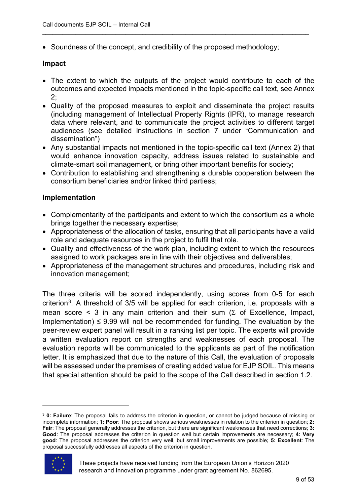• Soundness of the concept, and credibility of the proposed methodology;

#### **Impact**

• The extent to which the outputs of the project would contribute to each of the outcomes and expected impacts mentioned in the topic-specific call text, see Annex 2;

\_\_\_\_\_\_\_\_\_\_\_\_\_\_\_\_\_\_\_\_\_\_\_\_\_\_\_\_\_\_\_\_\_\_\_\_\_\_\_\_\_\_\_\_\_\_\_\_\_\_\_\_\_\_\_\_\_\_\_\_\_\_\_\_\_\_\_\_\_\_\_\_\_\_\_\_\_\_\_\_

- Quality of the proposed measures to exploit and disseminate the project results (including management of Intellectual Property Rights (IPR), to manage research data where relevant, and to communicate the project activities to different target audiences (see detailed instructions in section 7 under "Communication and dissemination")
- Any substantial impacts not mentioned in the topic-specific call text (Annex 2) that would enhance innovation capacity, address issues related to sustainable and climate-smart soil management, or bring other important benefits for society;
- Contribution to establishing and strengthening a durable cooperation between the consortium beneficiaries and/or linked third partiess;

#### **Implementation**

- Complementarity of the participants and extent to which the consortium as a whole brings together the necessary expertise;
- Appropriateness of the allocation of tasks, ensuring that all participants have a valid role and adequate resources in the project to fulfil that role.
- Quality and effectiveness of the work plan, including extent to which the resources assigned to work packages are in line with their objectives and deliverables;
- Appropriateness of the management structures and procedures, including risk and innovation management;

The three criteria will be scored independently, using scores from 0-5 for each criterion<sup>[3](#page-8-0)</sup>. A threshold of 3/5 will be applied for each criterion, i.e. proposals with a mean score < 3 in any main criterion and their sum ( $\Sigma$  of Excellence, Impact, Implementation)  $\leq$  9.99 will not be recommended for funding. The evaluation by the peer-review expert panel will result in a ranking list per topic. The experts will provide a written evaluation report on strengths and weaknesses of each proposal. The evaluation reports will be communicated to the applicants as part of the notification letter. It is emphasized that due to the nature of this Call, the evaluation of proposals will be assessed under the premises of creating added value for EJP SOIL. This means that special attention should be paid to the scope of the Call described in section 1.2.

<span id="page-8-0"></span><sup>3</sup> **0: Failure**: The proposal fails to address the criterion in question, or cannot be judged because of missing or incomplete information; **1: Poor**: The proposal shows serious weaknesses in relation to the criterion in question; **2: Fair**: The proposal generally addresses the criterion, but there are significant weaknesses that need corrections; **3: Good**: The proposal addresses the criterion in question well but certain improvements are necessary; **4: Very good**: The proposal addresses the criterion very well, but small improvements are possible**; 5: Excellent**: The proposal successfully addresses all aspects of the criterion in question.



 $\overline{a}$ 

These projects have received funding from the European Union's Horizon 2020 research and Innovation programme under grant agreement No. 862695.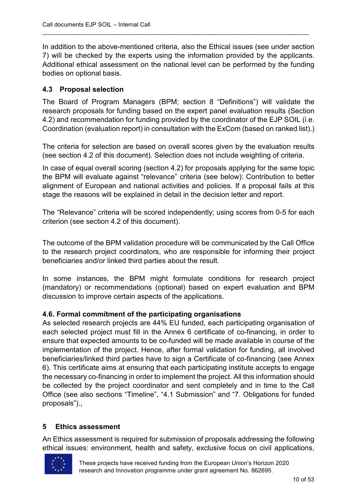In addition to the above-mentioned criteria, also the Ethical issues (see under section 7) will be checked by the experts using the information provided by the applicants. Additional ethical assessment on the national level can be performed by the funding bodies on optional basis.

\_\_\_\_\_\_\_\_\_\_\_\_\_\_\_\_\_\_\_\_\_\_\_\_\_\_\_\_\_\_\_\_\_\_\_\_\_\_\_\_\_\_\_\_\_\_\_\_\_\_\_\_\_\_\_\_\_\_\_\_\_\_\_\_\_\_\_\_\_\_\_\_\_\_\_\_\_\_\_\_

# **4.3 Proposal selection**

The Board of Program Managers (BPM; section 8 "Definitions") will validate the research proposals for funding based on the expert panel evaluation results (Section 4.2) and recommendation for funding provided by the coordinator of the EJP SOIL (i.e. Coordination (evaluation report) in consultation with the ExCom (based on ranked list).)

The criteria for selection are based on overall scores given by the evaluation results (see section 4.2 of this document). Selection does not include weighting of criteria.

In case of equal overall scoring (section 4.2) for proposals applying for the same topic the BPM will evaluate against "relevance" criteria (see below): Contribution to better alignment of European and national activities and policies. If a proposal fails at this stage the reasons will be explained in detail in the decision letter and report.

The "Relevance" criteria will be scored independently; using scores from 0-5 for each criterion (see section 4.2 of this document).

The outcome of the BPM validation procedure will be communicated by the Call Office to the research project coordinators, who are responsible for informing their project beneficiaries and/or linked third parties about the result.

In some instances, the BPM might formulate conditions for research project (mandatory) or recommendations (optional) based on expert evaluation and BPM discussion to improve certain aspects of the applications.

# **4.6. Formal commitment of the participating organisations**

As selected research projects are 44% EU funded, each participating organisation of each selected project must fill in the Annex 6 certificate of co-financing, in order to ensure that expected amounts to be co-funded will be made available in course of the implementation of the project. Hence, after formal validation for funding, all involved beneficiaries/linked third parties have to sign a Certificate of co-financing (see Annex 6). This certificate aims at ensuring that each participating institute accepts to engage the necessary co-financing in order to implement the project. All this information should be collected by the project coordinator and sent completely and in time to the Call Office (see also sections "Timeline", "4.1 Submission" and "7. Obligations for funded proposals").,

# **5 Ethics assessment**

An Ethics assessment is required for submission of proposals addressing the following ethical issues: environment, health and safety, exclusive focus on civil applications,

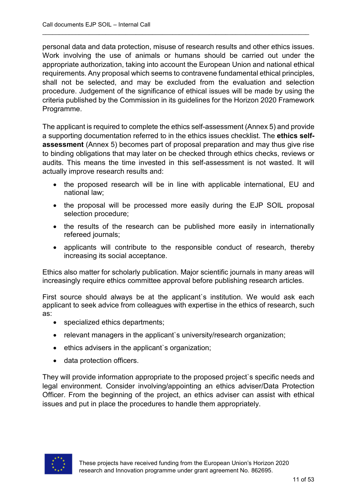personal data and data protection, misuse of research results and other ethics issues. Work involving the use of animals or humans should be carried out under the appropriate authorization, taking into account the European Union and national ethical requirements. Any proposal which seems to contravene fundamental ethical principles, shall not be selected, and may be excluded from the evaluation and selection procedure. Judgement of the significance of ethical issues will be made by using the criteria published by the Commission in its guidelines for the Horizon 2020 Framework Programme.

\_\_\_\_\_\_\_\_\_\_\_\_\_\_\_\_\_\_\_\_\_\_\_\_\_\_\_\_\_\_\_\_\_\_\_\_\_\_\_\_\_\_\_\_\_\_\_\_\_\_\_\_\_\_\_\_\_\_\_\_\_\_\_\_\_\_\_\_\_\_\_\_\_\_\_\_\_\_\_\_

The applicant is required to complete the ethics self-assessment (Annex 5) and provide a supporting documentation referred to in the ethics issues checklist. The **ethics selfassessment** (Annex 5) becomes part of proposal preparation and may thus give rise to binding obligations that may later on be checked through ethics checks, reviews or audits. This means the time invested in this self-assessment is not wasted. It will actually improve research results and:

- the proposed research will be in line with applicable international, EU and national law;
- the proposal will be processed more easily during the EJP SOIL proposal selection procedure;
- the results of the research can be published more easily in internationally refereed journals;
- applicants will contribute to the responsible conduct of research, thereby increasing its social acceptance.

Ethics also matter for scholarly publication. Major scientific journals in many areas will increasingly require ethics committee approval before publishing research articles.

First source should always be at the applicant's institution. We would ask each applicant to seek advice from colleagues with expertise in the ethics of research, such as:

- specialized ethics departments;
- relevant managers in the applicant's university/research organization;
- ethics advisers in the applicant`s organization;
- data protection officers.

They will provide information appropriate to the proposed project`s specific needs and legal environment. Consider involving/appointing an ethics adviser/Data Protection Officer. From the beginning of the project, an ethics adviser can assist with ethical issues and put in place the procedures to handle them appropriately.

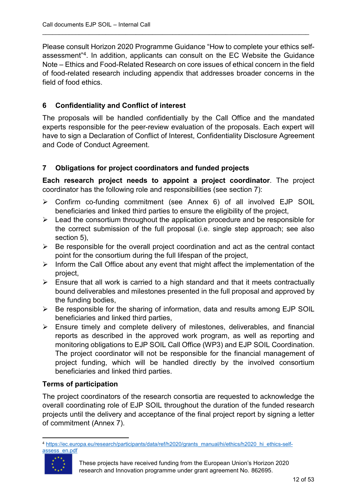Please consult Horizon 2020 Programme Guidance "How to complete your ethics selfassessment"[4.](#page-11-0) In addition, applicants can consult on the EC Website the Guidance Note – Ethics and Food-Related Research on core issues of ethical concern in the field of food-related research including appendix that addresses broader concerns in the field of food ethics.

\_\_\_\_\_\_\_\_\_\_\_\_\_\_\_\_\_\_\_\_\_\_\_\_\_\_\_\_\_\_\_\_\_\_\_\_\_\_\_\_\_\_\_\_\_\_\_\_\_\_\_\_\_\_\_\_\_\_\_\_\_\_\_\_\_\_\_\_\_\_\_\_\_\_\_\_\_\_\_\_

# **6 Confidentiality and Conflict of interest**

The proposals will be handled confidentially by the Call Office and the mandated experts responsible for the peer-review evaluation of the proposals. Each expert will have to sign a Declaration of Conflict of Interest, Confidentiality Disclosure Agreement and Code of Conduct Agreement.

# **7 Obligations for project coordinators and funded projects**

**Each research project needs to appoint a project coordinator**. The project coordinator has the following role and responsibilities (see section 7):

- Confirm co-funding commitment (see Annex 6) of all involved EJP SOIL beneficiaries and linked third parties to ensure the eligibility of the project,
- $\triangleright$  Lead the consortium throughout the application procedure and be responsible for the correct submission of the full proposal (i.e. single step approach; see also section 5),
- $\triangleright$  Be responsible for the overall project coordination and act as the central contact point for the consortium during the full lifespan of the project,
- $\triangleright$  Inform the Call Office about any event that might affect the implementation of the project,
- $\triangleright$  Ensure that all work is carried to a high standard and that it meets contractually bound deliverables and milestones presented in the full proposal and approved by the funding bodies,
- $\triangleright$  Be responsible for the sharing of information, data and results among EJP SOIL beneficiaries and linked third parties,
- $\triangleright$  Ensure timely and complete delivery of milestones, deliverables, and financial reports as described in the approved work program, as well as reporting and monitoring obligations to EJP SOIL Call Office (WP3) and EJP SOIL Coordination. The project coordinator will not be responsible for the financial management of project funding, which will be handled directly by the involved consortium beneficiaries and linked third parties.

# **Terms of participation**

The project coordinators of the research consortia are requested to acknowledge the overall coordinating role of EJP SOIL throughout the duration of the funded research projects until the delivery and acceptance of the final project report by signing a letter of commitment (Annex 7).

<span id="page-11-0"></span> <sup>4</sup> [https://ec.europa.eu/research/participants/data/ref/h2020/grants\\_manual/hi/ethics/h2020\\_hi\\_ethics-self](https://ec.europa.eu/research/participants/data/ref/h2020/grants_manual/hi/ethics/h2020_hi_ethics-self-assess_en.pdf)[assess\\_en.pdf](https://ec.europa.eu/research/participants/data/ref/h2020/grants_manual/hi/ethics/h2020_hi_ethics-self-assess_en.pdf)



These projects have received funding from the European Union's Horizon 2020 research and Innovation programme under grant agreement No. 862695.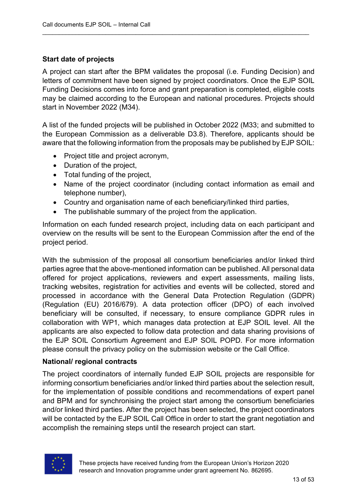# **Start date of projects**

A project can start after the BPM validates the proposal (i.e. Funding Decision) and letters of commitment have been signed by project coordinators. Once the EJP SOIL Funding Decisions comes into force and grant preparation is completed, eligible costs may be claimed according to the European and national procedures. Projects should start in November 2022 (M34).

\_\_\_\_\_\_\_\_\_\_\_\_\_\_\_\_\_\_\_\_\_\_\_\_\_\_\_\_\_\_\_\_\_\_\_\_\_\_\_\_\_\_\_\_\_\_\_\_\_\_\_\_\_\_\_\_\_\_\_\_\_\_\_\_\_\_\_\_\_\_\_\_\_\_\_\_\_\_\_\_

A list of the funded projects will be published in October 2022 (M33; and submitted to the European Commission as a deliverable D3.8). Therefore, applicants should be aware that the following information from the proposals may be published by EJP SOIL:

- Project title and project acronym,
- Duration of the project,
- Total funding of the project,
- Name of the project coordinator (including contact information as email and telephone number),
- Country and organisation name of each beneficiary/linked third parties,
- The publishable summary of the project from the application.

Information on each funded research project, including data on each participant and overview on the results will be sent to the European Commission after the end of the project period.

With the submission of the proposal all consortium beneficiaries and/or linked third parties agree that the above-mentioned information can be published. All personal data offered for project applications, reviewers and expert assessments, mailing lists, tracking websites, registration for activities and events will be collected, stored and processed in accordance with the General Data Protection Regulation (GDPR) (Regulation (EU) 2016/679). A data protection officer (DPO) of each involved beneficiary will be consulted, if necessary, to ensure compliance GDPR rules in collaboration with WP1, which manages data protection at EJP SOIL level. All the applicants are also expected to follow data protection and data sharing provisions of the EJP SOIL Consortium Agreement and EJP SOIL POPD. For more information please consult the privacy policy on the submission website or the Call Office.

# **National/ regional contracts**

The project coordinators of internally funded EJP SOIL projects are responsible for informing consortium beneficiaries and/or linked third parties about the selection result, for the implementation of possible conditions and recommendations of expert panel and BPM and for synchronising the project start among the consortium beneficiaries and/or linked third parties. After the project has been selected, the project coordinators will be contacted by the EJP SOIL Call Office in order to start the grant negotiation and accomplish the remaining steps until the research project can start.

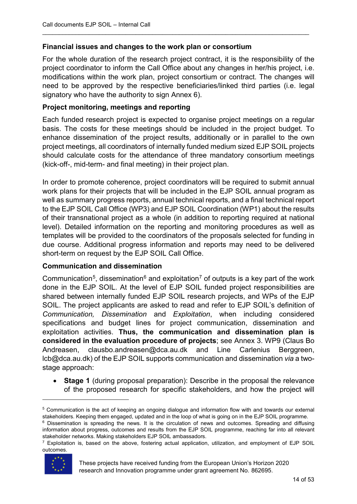#### **Financial issues and changes to the work plan or consortium**

For the whole duration of the research project contract, it is the responsibility of the project coordinator to inform the Call Office about any changes in her/his project, i.e. modifications within the work plan, project consortium or contract. The changes will need to be approved by the respective beneficiaries/linked third parties (i.e. legal signatory who have the authority to sign Annex 6).

\_\_\_\_\_\_\_\_\_\_\_\_\_\_\_\_\_\_\_\_\_\_\_\_\_\_\_\_\_\_\_\_\_\_\_\_\_\_\_\_\_\_\_\_\_\_\_\_\_\_\_\_\_\_\_\_\_\_\_\_\_\_\_\_\_\_\_\_\_\_\_\_\_\_\_\_\_\_\_\_

#### **Project monitoring, meetings and reporting**

Each funded research project is expected to organise project meetings on a regular basis. The costs for these meetings should be included in the project budget. To enhance dissemination of the project results, additionally or in parallel to the own project meetings, all coordinators of internally funded medium sized EJP SOIL projects should calculate costs for the attendance of three mandatory consortium meetings (kick-off-, mid-term- and final meeting) in their project plan.

In order to promote coherence, project coordinators will be required to submit annual work plans for their projects that will be included in the EJP SOIL annual program as well as summary progress reports, annual technical reports, and a final technical report to the EJP SOIL Call Office (WP3) and EJP SOIL Coordination (WP1) about the results of their transnational project as a whole (in addition to reporting required at national level). Detailed information on the reporting and monitoring procedures as well as templates will be provided to the coordinators of the proposals selected for funding in due course. Additional progress information and reports may need to be delivered short-term on request by the EJP SOIL Call Office.

#### **Communication and dissemination**

Communication<sup>[5](#page-13-0)</sup>, dissemination<sup>[6](#page-13-1)</sup> and exploitation<sup>[7](#page-13-2)</sup> of outputs is a key part of the work done in the EJP SOIL. At the level of EJP SOIL funded project responsibilities are shared between internally funded EJP SOIL research projects, and WPs of the EJP SOIL. The project applicants are asked to read and refer to EJP SOIL's definition of *Communication, Dissemination* and *Exploitation*, when including considered specifications and budget lines for project communication, dissemination and exploitation activities. **Thus, the communication and dissemination plan is considered in the evaluation procedure of projects**; see Annex 3. WP9 (Claus Bo Andreasen, clausbo.andreasen@dca.au.dk and Line Carlenius Berggreen, lcb@dca.au.dk) of the EJP SOIL supports communication and dissemination *via* a twostage approach:

• **Stage 1** (during proposal preparation): Describe in the proposal the relevance of the proposed research for specific stakeholders, and how the project will

<span id="page-13-2"></span> $7$  Exploitation is, based on the above, fostering actual application, utilization, and employment of EJP SOIL outcomes.



 $\overline{a}$ 

<span id="page-13-0"></span><sup>5</sup> Communication is the act of keeping an ongoing dialogue and information flow with and towards our external stakeholders. Keeping them engaged, updated and in the loop of what is going on in the EJP SOIL programme.

<span id="page-13-1"></span><sup>6</sup> Dissemination is spreading the news. It is the circulation of news and outcomes. Spreading and diffusing information about progress, outcomes and results from the EJP SOIL programme, reaching far into all relevant stakeholder networks. Making stakeholders EJP SOIL ambassadors.

These projects have received funding from the European Union's Horizon 2020 research and Innovation programme under grant agreement No. 862695.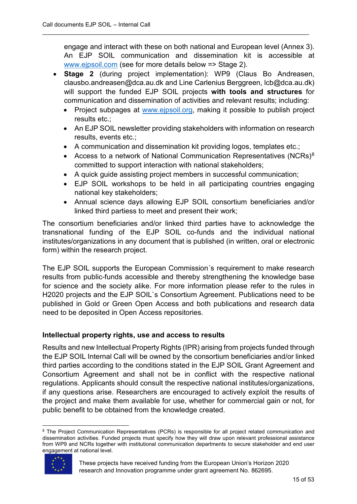engage and interact with these on both national and European level (Annex 3). An EJP SOIL communication and dissemination kit is accessible at [www.ejpsoil.com](http://www.ejpsoil.com/) (see for more details below => Stage 2).

\_\_\_\_\_\_\_\_\_\_\_\_\_\_\_\_\_\_\_\_\_\_\_\_\_\_\_\_\_\_\_\_\_\_\_\_\_\_\_\_\_\_\_\_\_\_\_\_\_\_\_\_\_\_\_\_\_\_\_\_\_\_\_\_\_\_\_\_\_\_\_\_\_\_\_\_\_\_\_\_

- **Stage 2** (during project implementation): WP9 (Claus Bo Andreasen, clausbo.andreasen@dca.au.dk and Line Carlenius Berggreen, lcb@dca.au.dk) will support the funded EJP SOIL projects **with tools and structures** for communication and dissemination of activities and relevant results; including:
	- Project subpages at [www.ejpsoil.org,](http://www.ejpsoil.org/) making it possible to publish project results etc.;
	- An EJP SOIL newsletter providing stakeholders with information on research results, events etc.;
	- A communication and dissemination kit providing logos, templates etc.;
	- Access to a network of National Communication Representatives (NCRs)<sup>[8](#page-14-0)</sup> committed to support interaction with national stakeholders;
	- A quick guide assisting project members in successful communication;
	- EJP SOIL workshops to be held in all participating countries engaging national key stakeholders;
	- Annual science days allowing EJP SOIL consortium beneficiaries and/or linked third partiess to meet and present their work;

The consortium beneficiaries and/or linked third parties have to acknowledge the transnational funding of the EJP SOIL co-funds and the individual national institutes/organizations in any document that is published (in written, oral or electronic form) within the research project.

The EJP SOIL supports the European Commission´s requirement to make research results from public-funds accessible and thereby strengthening the knowledge base for science and the society alike. For more information please refer to the rules in H2020 projects and the EJP SOIL`s Consortium Agreement. Publications need to be published in Gold or Green Open Access and both publications and research data need to be deposited in Open Access repositories.

# **Intellectual property rights, use and access to results**

Results and new Intellectual Property Rights (IPR) arising from projects funded through the EJP SOIL Internal Call will be owned by the consortium beneficiaries and/or linked third parties according to the conditions stated in the EJP SOIL Grant Agreement and Consortium Agreement and shall not be in conflict with the respective national regulations. Applicants should consult the respective national institutes/organizations, if any questions arise. Researchers are encouraged to actively exploit the results of the project and make them available for use, whether for commercial gain or not, for public benefit to be obtained from the knowledge created.

<span id="page-14-0"></span><sup>&</sup>lt;sup>8</sup> The Project Communication Representatives (PCRs) is responsible for all project related communication and dissemination activities. Funded projects must specify how they will draw upon relevant professional assistance from WP9 and NCRs together with institutional communication departments to secure stakeholder and end user engagement at national level.



These projects have received funding from the European Union's Horizon 2020 research and Innovation programme under grant agreement No. 862695.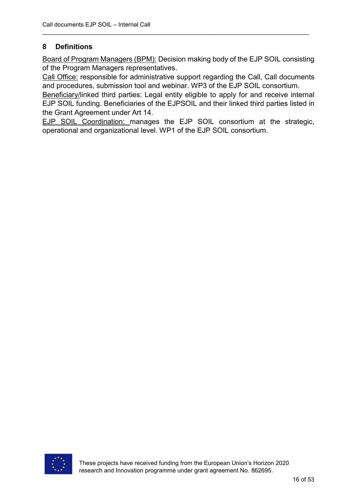# **8 Definitions**

Board of Program Managers (BPM): Decision making body of the EJP SOIL consisting of the Program Managers representatives.

\_\_\_\_\_\_\_\_\_\_\_\_\_\_\_\_\_\_\_\_\_\_\_\_\_\_\_\_\_\_\_\_\_\_\_\_\_\_\_\_\_\_\_\_\_\_\_\_\_\_\_\_\_\_\_\_\_\_\_\_\_\_\_\_\_\_\_\_\_\_\_\_\_\_\_\_\_\_\_\_

Call Office: responsible for administrative support regarding the Call, Call documents and procedures, submission tool and webinar. WP3 of the EJP SOIL consortium.

Beneficiary/linked third parties: Legal entity eligible to apply for and receive internal EJP SOIL funding. Beneficiaries of the EJPSOIL and their linked third parties listed in the Grant Agreement under Art 14.

EJP SOIL Coordination: manages the EJP SOIL consortium at the strategic, operational and organizational level. WP1 of the EJP SOIL consortium.

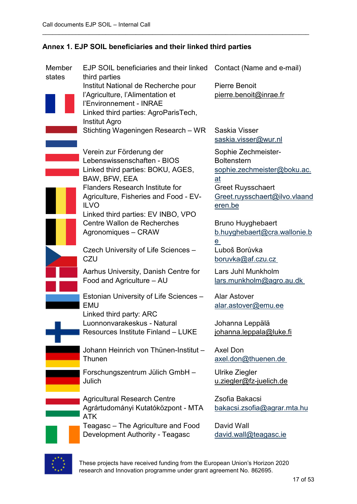| Member<br>states | EJP SOIL beneficiaries and their linked<br>third parties | Contact (Name and e-mail)                                 |
|------------------|----------------------------------------------------------|-----------------------------------------------------------|
|                  | Institut National de Recherche pour                      | <b>Pierre Benoit</b>                                      |
|                  | l'Agriculture, l'Alimentation et                         | pierre.benoit@inrae.fr                                    |
|                  | l'Environnement - INRAE                                  |                                                           |
|                  | Linked third parties: AgroParisTech,                     |                                                           |
|                  | <b>Institut Agro</b>                                     |                                                           |
|                  | Stichting Wageningen Research - WR                       | Saskia Visser                                             |
|                  |                                                          | saskia.visser@wur.nl                                      |
|                  | Verein zur Förderung der                                 | Sophie Zechmeister-                                       |
|                  | Lebenswissenschaften - BIOS                              | <b>Boltenstern</b>                                        |
|                  | Linked third parties: BOKU, AGES,                        | sophie.zechmeister@boku.ac.                               |
|                  | BAW, BFW, EEA<br><b>Flanders Research Institute for</b>  | at                                                        |
|                  | Agriculture, Fisheries and Food - EV-                    | <b>Greet Ruysschaert</b><br>Greet.ruysschaert@ilvo.vlaand |
|                  | <b>ILVO</b>                                              | eren.be                                                   |
|                  | Linked third parties: EV INBO, VPO                       |                                                           |
|                  | Centre Wallon de Recherches                              | <b>Bruno Huyghebaert</b>                                  |
|                  | Agronomiques - CRAW                                      | b.huyghebaert@cra.wallonie.b                              |
|                  |                                                          | e                                                         |
|                  | Czech University of Life Sciences -                      | Luboš Borůvka                                             |
|                  | CZU                                                      | boruvka@af.czu.cz                                         |
|                  | Aarhus University, Danish Centre for                     | Lars Juhl Munkholm                                        |
|                  | Food and Agriculture - AU                                | <u>lars.munkholm@agro.au.dk</u>                           |
|                  | Estonian University of Life Sciences -                   | <b>Alar Astover</b>                                       |
|                  | <b>EMU</b>                                               | alar.astover@emu.ee                                       |
|                  | Linked third party: ARC                                  |                                                           |
|                  | Luonnonvarakeskus - Natural                              | Johanna Leppälä                                           |
|                  | Resources Institute Finland - LUKE                       | johanna.leppala@luke.fi                                   |
|                  | Johann Heinrich von Thünen-Institut -                    | <b>Axel Don</b>                                           |
|                  | <b>Thunen</b>                                            | axel.don@thuenen.de                                       |
|                  |                                                          |                                                           |
|                  | Forschungszentrum Jülich GmbH -<br>Julich                | Ulrike Ziegler<br>u.ziegler@fz-juelich.de                 |
|                  |                                                          |                                                           |
|                  | <b>Agricultural Research Centre</b>                      | Zsofia Bakacsi                                            |
|                  | Agrártudományi Kutatóközpont - MTA                       | bakacsi.zsofia@agrar.mta.hu                               |
|                  | <b>ATK</b>                                               |                                                           |
|                  | Teagasc – The Agriculture and Food                       | David Wall                                                |
|                  | Development Authority - Teagasc                          | david.wall@teagasc.ie                                     |
|                  |                                                          |                                                           |

# **Annex 1. EJP SOIL beneficiaries and their linked third parties**

\_\_\_\_\_\_\_\_\_\_\_\_\_\_\_\_\_\_\_\_\_\_\_\_\_\_\_\_\_\_\_\_\_\_\_\_\_\_\_\_\_\_\_\_\_\_\_\_\_\_\_\_\_\_\_\_\_\_\_\_\_\_\_\_\_\_\_\_\_\_\_\_\_\_\_\_\_\_\_\_



These projects have received funding from the European Union's Horizon 2020 research and Innovation programme under grant agreement No. 862695.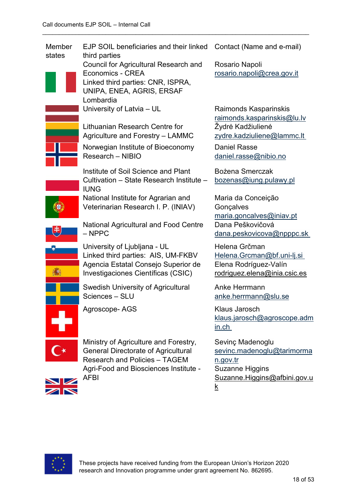| Member<br>states | EJP SOIL beneficiaries and their linked<br>third parties                                                                                                                            | Contact (Name and e-mail)                                                                                                               |
|------------------|-------------------------------------------------------------------------------------------------------------------------------------------------------------------------------------|-----------------------------------------------------------------------------------------------------------------------------------------|
|                  | Council for Agricultural Research and<br>Economics - CREA<br>Linked third parties: CNR, ISPRA,<br>UNIPA, ENEA, AGRIS, ERSAF<br>Lombardia                                            | Rosario Napoli<br>rosario.napoli@crea.gov.it                                                                                            |
|                  | University of Latvia - UL                                                                                                                                                           | Raimonds Kasparinskis<br>raimonds.kasparinskis@lu.lv                                                                                    |
|                  | Lithuanian Research Centre for<br>Agriculture and Forestry - LAMMC                                                                                                                  | Žydrė Kadžiulienė<br>zydre.kadziuliene@lammc.lt                                                                                         |
|                  | Norwegian Institute of Bioeconomy<br>Research - NIBIO                                                                                                                               | <b>Daniel Rasse</b><br>daniel.rasse@nibio.no                                                                                            |
|                  | Institute of Soil Science and Plant<br>Cultivation - State Research Institute -<br><b>IUNG</b>                                                                                      | Bożena Smerczak<br>bozenas@iung.pulawy.pl                                                                                               |
|                  | National Institute for Agrarian and<br>Veterinarian Research I. P. (INIAV)                                                                                                          | Maria da Conceição<br>Gonçalves<br>maria.goncalves@iniav.pt                                                                             |
|                  | <b>National Agricultural and Food Centre</b><br>$-$ NPPC                                                                                                                            | Dana Peškovičová<br>dana.peskovicova@npppc.sk                                                                                           |
|                  | University of Ljubljana - UL<br>Linked third parties: AIS, UM-FKBV<br>Agencia Estatal Consejo Superior de<br>Investigaciones Científicas (CSIC)                                     | Helena Grčman<br>Helena.Grcman@bf.uni-lj.si<br>Elena Rodríguez-Valín<br>rodriguez.elena@inia.csic.es                                    |
|                  | <b>Swedish University of Agricultural</b><br>Sciences - SLU                                                                                                                         | Anke Herrmann<br>anke.herrmann@slu.se                                                                                                   |
|                  | Agroscope-AGS                                                                                                                                                                       | <b>Klaus Jarosch</b><br>klaus.jarosch@agroscope.adm<br>in.ch                                                                            |
| $\blacksquare$   | Ministry of Agriculture and Forestry,<br><b>General Directorate of Agricultural</b><br><b>Research and Policies - TAGEM</b><br>Agri-Food and Biosciences Institute -<br><b>AFBI</b> | Sevinç Madenoglu<br>sevinc.madenoglu@tarimorma<br>n.gov.tr<br><b>Suzanne Higgins</b><br>Suzanne.Higgins@afbini.gov.u<br>$\underline{k}$ |

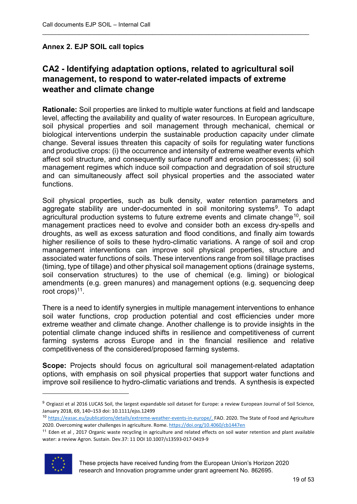# **Annex 2. EJP SOIL call topics**

# **CA2 - Identifying adaptation options, related to agricultural soil management, to respond to water-related impacts of extreme weather and climate change**

\_\_\_\_\_\_\_\_\_\_\_\_\_\_\_\_\_\_\_\_\_\_\_\_\_\_\_\_\_\_\_\_\_\_\_\_\_\_\_\_\_\_\_\_\_\_\_\_\_\_\_\_\_\_\_\_\_\_\_\_\_\_\_\_\_\_\_\_\_\_\_\_\_\_\_\_\_\_\_\_

**Rationale:** Soil properties are linked to multiple water functions at field and landscape level, affecting the availability and quality of water resources. In European agriculture, soil physical properties and soil management through mechanical, chemical or biological interventions underpin the sustainable production capacity under climate change. Several issues threaten this capacity of soils for regulating water functions and productive crops: (i) the occurrence and intensity of extreme weather events which affect soil structure, and consequently surface runoff and erosion processes; (ii) soil management regimes which induce soil compaction and degradation of soil structure and can simultaneously affect soil physical properties and the associated water functions.

Soil physical properties, such as bulk density, water retention parameters and aggregate stability are under-documented in soil monitoring systems<sup>[9](#page-18-0)</sup>. To adapt agricultural production systems to future extreme events and climate change<sup>[10](#page-18-1)</sup>, soil management practices need to evolve and consider both an excess dry-spells and droughts, as well as excess saturation and flood conditions, and finally aim towards higher resilience of soils to these hydro-climatic variations. A range of soil and crop management interventions can improve soil physical properties, structure and associated water functions of soils. These interventions range from soil tillage practises (timing, type of tillage) and other physical soil management options (drainage systems, soil conservation structures) to the use of chemical (e.g. liming) or biological amendments (e.g. green manures) and management options (e.g. sequencing deep root crops)<sup>11</sup>.

There is a need to identify synergies in multiple management interventions to enhance soil water functions, crop production potential and cost efficiencies under more extreme weather and climate change. Another challenge is to provide insights in the potential climate change induced shifts in resilience and competitiveness of current farming systems across Europe and in the financial resilience and relative competitiveness of the considered/proposed farming systems.

**Scope:** Projects should focus on agricultural soil management-related adaptation options, with emphasis on soil physical properties that support water functions and improve soil resilience to hydro-climatic variations and trends. A synthesis is expected

<span id="page-18-2"></span> $11$  Eden et al, 2017 Organic waste recycling in agriculture and related effects on soil water retention and plant available water: a review Agron. Sustain. Dev.37: 11 DOI 10.1007/s13593-017-0419-9



 $\overline{a}$ 

<span id="page-18-0"></span><sup>&</sup>lt;sup>9</sup> Orgiazzi et al 2016 LUCAS Soil, the largest expandable soil dataset for Europe: a review European Journal of Soil Science, January 2018, 69, 140–153 doi: 10.1111/ejss.12499

<span id="page-18-1"></span><sup>10</sup> [https://easac.eu/publications/details/extreme-weather-events-in-europe/,](https://easac.eu/publications/details/extreme-weather-events-in-europe/) FAO. 2020. The State of Food and Agriculture 2020. Overcoming water challenges in agriculture. Rome.<https://doi.org/10.4060/cb1447en>

These projects have received funding from the European Union's Horizon 2020 research and Innovation programme under grant agreement No. 862695.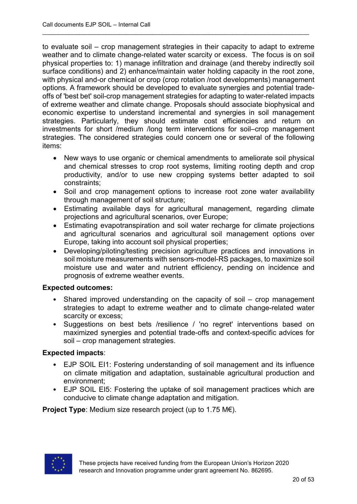to evaluate soil – crop management strategies in their capacity to adapt to extreme weather and to climate change-related water scarcity or excess. The focus is on soil physical properties to: 1) manage infiltration and drainage (and thereby indirectly soil surface conditions) and 2) enhance/maintain water holding capacity in the root zone, with physical and-or chemical or crop (crop rotation /root developments) management options. A framework should be developed to evaluate synergies and potential tradeoffs of 'best bet' soil-crop management strategies for adapting to water-related impacts of extreme weather and climate change. Proposals should associate biophysical and economic expertise to understand incremental and synergies in soil management strategies. Particularly, they should estimate cost efficiencies and return on investments for short /medium /long term interventions for soil–crop management strategies. The considered strategies could concern one or several of the following items:

\_\_\_\_\_\_\_\_\_\_\_\_\_\_\_\_\_\_\_\_\_\_\_\_\_\_\_\_\_\_\_\_\_\_\_\_\_\_\_\_\_\_\_\_\_\_\_\_\_\_\_\_\_\_\_\_\_\_\_\_\_\_\_\_\_\_\_\_\_\_\_\_\_\_\_\_\_\_\_\_

- New ways to use organic or chemical amendments to ameliorate soil physical and chemical stresses to crop root systems, limiting rooting depth and crop productivity, and/or to use new cropping systems better adapted to soil constraints;
- Soil and crop management options to increase root zone water availability through management of soil structure;
- Estimating available days for agricultural management, regarding climate projections and agricultural scenarios, over Europe;
- Estimating evapotranspiration and soil water recharge for climate projections and agricultural scenarios and agricultural soil management options over Europe, taking into account soil physical properties;
- Developing/piloting/testing precision agriculture practices and innovations in soil moisture measurements with sensors-model-RS packages, to maximize soil moisture use and water and nutrient efficiency, pending on incidence and prognosis of extreme weather events.

#### **Expected outcomes:**

- Shared improved understanding on the capacity of soil crop management strategies to adapt to extreme weather and to climate change-related water scarcity or excess;
- Suggestions on best bets /resilience / 'no regret' interventions based on maximized synergies and potential trade-offs and context-specific advices for soil – crop management strategies.

# **Expected impacts**:

- EJP SOIL EI1: Fostering understanding of soil management and its influence on climate mitigation and adaptation, sustainable agricultural production and environment;
- EJP SOIL EI5: Fostering the uptake of soil management practices which are conducive to climate change adaptation and mitigation.

**Project Type**: Medium size research project (up to 1.75 M€).

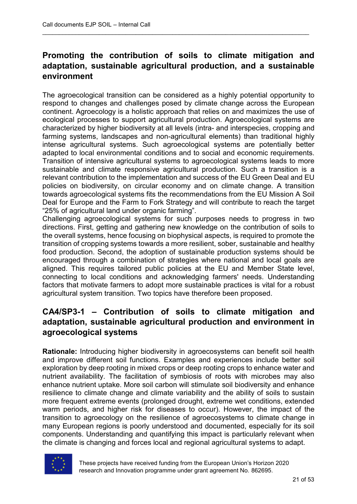# **Promoting the contribution of soils to climate mitigation and adaptation, sustainable agricultural production, and a sustainable environment**

\_\_\_\_\_\_\_\_\_\_\_\_\_\_\_\_\_\_\_\_\_\_\_\_\_\_\_\_\_\_\_\_\_\_\_\_\_\_\_\_\_\_\_\_\_\_\_\_\_\_\_\_\_\_\_\_\_\_\_\_\_\_\_\_\_\_\_\_\_\_\_\_\_\_\_\_\_\_\_\_

The agroecological transition can be considered as a highly potential opportunity to respond to changes and challenges posed by climate change across the European continent. Agroecology is a holistic approach that relies on and maximizes the use of ecological processes to support agricultural production. Agroecological systems are characterized by higher biodiversity at all levels (intra- and interspecies, cropping and farming systems, landscapes and non-agricultural elements) than traditional highly intense agricultural systems. Such agroecological systems are potentially better adapted to local environmental conditions and to social and economic requirements. Transition of intensive agricultural systems to agroecological systems leads to more sustainable and climate responsive agricultural production. Such a transition is a relevant contribution to the implementation and success of the EU Green Deal and EU policies on biodiversity, on circular economy and on climate change. A transition towards agroecological systems fits the recommendations from the EU Mission A Soil Deal for Europe and the Farm to Fork Strategy and will contribute to reach the target "25% of agricultural land under organic farming".

Challenging agroecological systems for such purposes needs to progress in two directions. First, getting and gathering new knowledge on the contribution of soils to the overall systems, hence focusing on biophysical aspects, is required to promote the transition of cropping systems towards a more resilient, sober, sustainable and healthy food production. Second, the adoption of sustainable production systems should be encouraged through a combination of strategies where national and local goals are aligned. This requires tailored public policies at the EU and Member State level, connecting to local conditions and acknowledging farmers' needs. Understanding factors that motivate farmers to adopt more sustainable practices is vital for a robust agricultural system transition. Two topics have therefore been proposed.

# **CA4/SP3-1 – Contribution of soils to climate mitigation and adaptation, sustainable agricultural production and environment in agroecological systems**

**Rationale:** Introducing higher biodiversity in agroecosystems can benefit soil health and improve different soil functions. Examples and experiences include better soil exploration by deep rooting in mixed crops or deep rooting crops to enhance water and nutrient availability. The facilitation of symbiosis of roots with microbes may also enhance nutrient uptake. More soil carbon will stimulate soil biodiversity and enhance resilience to climate change and climate variability and the ability of soils to sustain more frequent extreme events (prolonged drought, extreme wet conditions, extended warm periods, and higher risk for diseases to occur). However, the impact of the transition to agroecology on the resilience of agroecosystems to climate change in many European regions is poorly understood and documented, especially for its soil components. Understanding and quantifying this impact is particularly relevant when the climate is changing and forces local and regional agricultural systems to adapt.

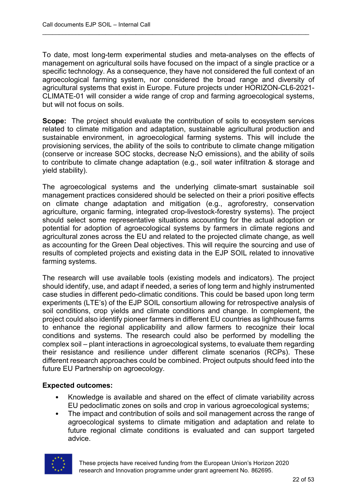To date, most long-term experimental studies and meta-analyses on the effects of management on agricultural soils have focused on the impact of a single practice or a specific technology. As a consequence, they have not considered the full context of an agroecological farming system, nor considered the broad range and diversity of agricultural systems that exist in Europe. Future projects under HORIZON-CL6-2021- CLIMATE-01 will consider a wide range of crop and farming agroecological systems, but will not focus on soils.

\_\_\_\_\_\_\_\_\_\_\_\_\_\_\_\_\_\_\_\_\_\_\_\_\_\_\_\_\_\_\_\_\_\_\_\_\_\_\_\_\_\_\_\_\_\_\_\_\_\_\_\_\_\_\_\_\_\_\_\_\_\_\_\_\_\_\_\_\_\_\_\_\_\_\_\_\_\_\_\_

**Scope:** The project should evaluate the contribution of soils to ecosystem services related to climate mitigation and adaptation, sustainable agricultural production and sustainable environment, in agroecological farming systems. This will include the provisioning services, the ability of the soils to contribute to climate change mitigation (conserve or increase SOC stocks, decrease  $N_2O$  emissions), and the ability of soils to contribute to climate change adaptation (e.g., soil water infiltration & storage and yield stability).

The agroecological systems and the underlying climate-smart sustainable soil management practices considered should be selected on their a priori positive effects on climate change adaptation and mitigation (e.g., agroforestry, conservation agriculture, organic farming, integrated crop-livestock-forestry systems). The project should select some representative situations accounting for the actual adoption or potential for adoption of agroecological systems by farmers in climate regions and agricultural zones across the EU and related to the projected climate change, as well as accounting for the Green Deal objectives. This will require the sourcing and use of results of completed projects and existing data in the EJP SOIL related to innovative farming systems.

The research will use available tools (existing models and indicators). The project should identify, use, and adapt if needed, a series of long term and highly instrumented case studies in different pedo-climatic conditions. This could be based upon long term experiments (LTE's) of the EJP SOIL consortium allowing for retrospective analysis of soil conditions, crop yields and climate conditions and change. In complement, the project could also identify pioneer farmers in different EU countries as lighthouse farms to enhance the regional applicability and allow farmers to recognize their local conditions and systems. The research could also be performed by modelling the complex soil – plant interactions in agroecological systems, to evaluate them regarding their resistance and resilience under different climate scenarios (RCPs). These different research approaches could be combined. Project outputs should feed into the future EU Partnership on agroecology.

#### **Expected outcomes:**

- Knowledge is available and shared on the effect of climate variability across EU pedoclimatic zones on soils and crop in various agroecological systems;
- The impact and contribution of soils and soil management across the range of agroecological systems to climate mitigation and adaptation and relate to future regional climate conditions is evaluated and can support targeted advice.



These projects have received funding from the European Union's Horizon 2020 research and Innovation programme under grant agreement No. 862695.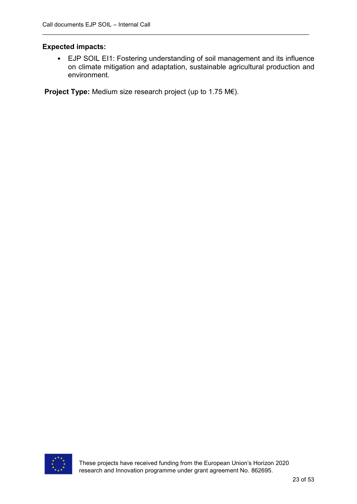#### **Expected impacts:**

• EJP SOIL EI1: Fostering understanding of soil management and its influence on climate mitigation and adaptation, sustainable agricultural production and environment.

\_\_\_\_\_\_\_\_\_\_\_\_\_\_\_\_\_\_\_\_\_\_\_\_\_\_\_\_\_\_\_\_\_\_\_\_\_\_\_\_\_\_\_\_\_\_\_\_\_\_\_\_\_\_\_\_\_\_\_\_\_\_\_\_\_\_\_\_\_\_\_\_\_\_\_\_\_\_\_\_

**Project Type:** Medium size research project (up to 1.75 M€).

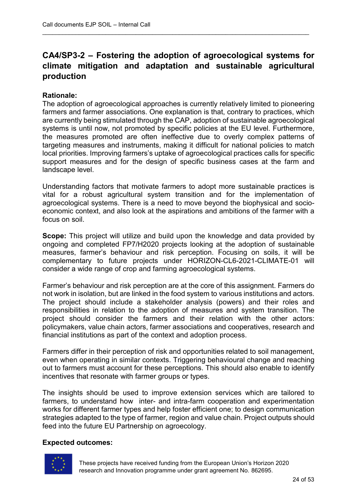# **CA4/SP3-2 – Fostering the adoption of agroecological systems for climate mitigation and adaptation and sustainable agricultural production**

\_\_\_\_\_\_\_\_\_\_\_\_\_\_\_\_\_\_\_\_\_\_\_\_\_\_\_\_\_\_\_\_\_\_\_\_\_\_\_\_\_\_\_\_\_\_\_\_\_\_\_\_\_\_\_\_\_\_\_\_\_\_\_\_\_\_\_\_\_\_\_\_\_\_\_\_\_\_\_\_

#### **Rationale:**

The adoption of agroecological approaches is currently relatively limited to pioneering farmers and farmer associations. One explanation is that, contrary to practices, which are currently being stimulated through the CAP, adoption of sustainable agroecological systems is until now, not promoted by specific policies at the EU level. Furthermore, the measures promoted are often ineffective due to overly complex patterns of targeting measures and instruments, making it difficult for national policies to match local priorities. Improving farmers's uptake of agroecological practices calls for specific support measures and for the design of specific business cases at the farm and landscape level.

Understanding factors that motivate farmers to adopt more sustainable practices is vital for a robust agricultural system transition and for the implementation of agroecological systems. There is a need to move beyond the biophysical and socioeconomic context, and also look at the aspirations and ambitions of the farmer with a focus on soil.

**Scope:** This project will utilize and build upon the knowledge and data provided by ongoing and completed FP7/H2020 projects looking at the adoption of sustainable measures, farmer's behaviour and risk perception. Focusing on soils, it will be complementary to future projects under HORIZON-CL6-2021-CLIMATE-01 will consider a wide range of crop and farming agroecological systems.

Farmer's behaviour and risk perception are at the core of this assignment. Farmers do not work in isolation, but are linked in the food system to various institutions and actors. The project should include a stakeholder analysis (powers) and their roles and responsibilities in relation to the adoption of measures and system transition. The project should consider the farmers and their relation with the other actors: policymakers, value chain actors, farmer associations and cooperatives, research and financial institutions as part of the context and adoption process.

Farmers differ in their perception of risk and opportunities related to soil management, even when operating in similar contexts. Triggering behavioural change and reaching out to farmers must account for these perceptions. This should also enable to identify incentives that resonate with farmer groups or types.

The insights should be used to improve extension services which are tailored to farmers, to understand how inter- and intra-farm cooperation and experimentation works for different farmer types and help foster efficient one; to design communication strategies adapted to the type of farmer, region and value chain. Project outputs should feed into the future EU Partnership on agroecology.

#### **Expected outcomes:**

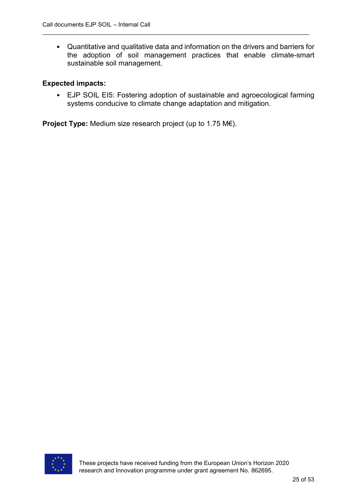• Quantitative and qualitative data and information on the drivers and barriers for the adoption of soil management practices that enable climate-smart sustainable soil management.

\_\_\_\_\_\_\_\_\_\_\_\_\_\_\_\_\_\_\_\_\_\_\_\_\_\_\_\_\_\_\_\_\_\_\_\_\_\_\_\_\_\_\_\_\_\_\_\_\_\_\_\_\_\_\_\_\_\_\_\_\_\_\_\_\_\_\_\_\_\_\_\_\_\_\_\_\_\_\_\_

#### **Expected impacts:**

• EJP SOIL EI5: Fostering adoption of sustainable and agroecological farming systems conducive to climate change adaptation and mitigation.

**Project Type:** Medium size research project (up to 1.75 M€).

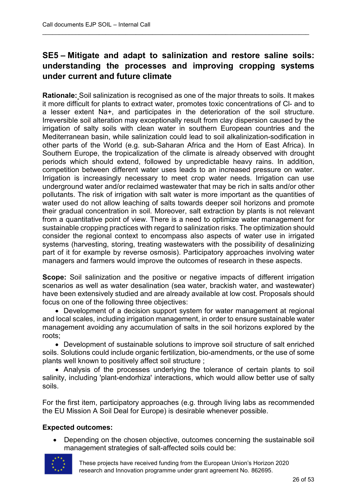# **SE5 – Mitigate and adapt to salinization and restore saline soils: understanding the processes and improving cropping systems under current and future climate**

\_\_\_\_\_\_\_\_\_\_\_\_\_\_\_\_\_\_\_\_\_\_\_\_\_\_\_\_\_\_\_\_\_\_\_\_\_\_\_\_\_\_\_\_\_\_\_\_\_\_\_\_\_\_\_\_\_\_\_\_\_\_\_\_\_\_\_\_\_\_\_\_\_\_\_\_\_\_\_\_

**Rationale:** Soil salinization is recognised as one of the major threats to soils. It makes it more difficult for plants to extract water, promotes toxic concentrations of Cl- and to a lesser extent Na+, and participates in the deterioration of the soil structure. Irreversible soil alteration may exceptionally result from clay dispersion caused by the irrigation of salty soils with clean water in southern European countries and the Mediterranean basin, while salinization could lead to soil alkalinization-sodification in other parts of the World (e.g. sub-Saharan Africa and the Horn of East Africa). In Southern Europe, the tropicalization of the climate is already observed with drought periods which should extend, followed by unpredictable heavy rains. In addition, competition between different water uses leads to an increased pressure on water. Irrigation is increasingly necessary to meet crop water needs. Irrigation can use underground water and/or reclaimed wastewater that may be rich in salts and/or other pollutants. The risk of irrigation with salt water is more important as the quantities of water used do not allow leaching of salts towards deeper soil horizons and promote their gradual concentration in soil. Moreover, salt extraction by plants is not relevant from a quantitative point of view. There is a need to optimize water management for sustainable cropping practices with regard to salinization risks. The optimization should consider the regional context to encompass also aspects of water use in irrigated systems (harvesting, storing, treating wastewaters with the possibility of desalinizing part of it for example by reverse osmosis). Participatory approaches involving water managers and farmers would improve the outcomes of research in these aspects.

**Scope:** Soil salinization and the positive or negative impacts of different irrigation scenarios as well as water desalination (sea water, brackish water, and wastewater) have been extensively studied and are already available at low cost. Proposals should focus on one of the following three objectives:

• Development of a decision support system for water management at regional and local scales, including irrigation management, in order to ensure sustainable water management avoiding any accumulation of salts in the soil horizons explored by the roots;

• Development of sustainable solutions to improve soil structure of salt enriched soils. Solutions could include organic fertilization, bio-amendments, or the use of some plants well known to positively affect soil structure ;

• Analysis of the processes underlying the tolerance of certain plants to soil salinity, including 'plant-endorhiza' interactions, which would allow better use of salty soils.

For the first item, participatory approaches (e.g. through living labs as recommended the EU Mission A Soil Deal for Europe) is desirable whenever possible.

# **Expected outcomes:**

• Depending on the chosen objective, outcomes concerning the sustainable soil management strategies of salt-affected soils could be:



These projects have received funding from the European Union's Horizon 2020 research and Innovation programme under grant agreement No. 862695.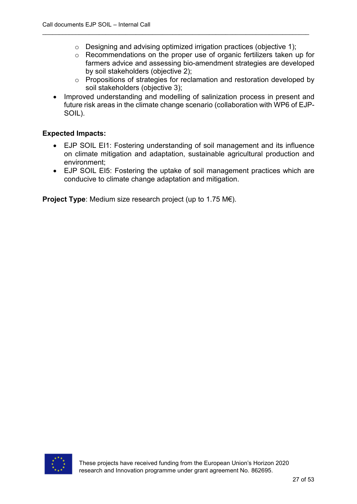o Designing and advising optimized irrigation practices (objective 1);

\_\_\_\_\_\_\_\_\_\_\_\_\_\_\_\_\_\_\_\_\_\_\_\_\_\_\_\_\_\_\_\_\_\_\_\_\_\_\_\_\_\_\_\_\_\_\_\_\_\_\_\_\_\_\_\_\_\_\_\_\_\_\_\_\_\_\_\_\_\_\_\_\_\_\_\_\_\_\_\_

- o Recommendations on the proper use of organic fertilizers taken up for farmers advice and assessing bio-amendment strategies are developed by soil stakeholders (objective 2);
- o Propositions of strategies for reclamation and restoration developed by soil stakeholders (objective 3);
- Improved understanding and modelling of salinization process in present and future risk areas in the climate change scenario (collaboration with WP6 of EJP-SOIL).

#### **Expected Impacts:**

- EJP SOIL EI1: Fostering understanding of soil management and its influence on climate mitigation and adaptation, sustainable agricultural production and environment;
- EJP SOIL EI5: Fostering the uptake of soil management practices which are conducive to climate change adaptation and mitigation.

**Project Type**: Medium size research project (up to 1.75 M€).

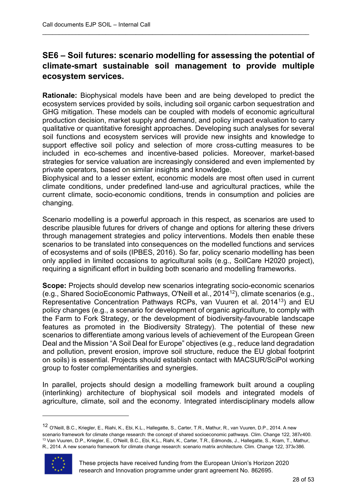# **SE6 – Soil futures: scenario modelling for assessing the potential of climate-smart sustainable soil management to provide multiple ecosystem services.**

\_\_\_\_\_\_\_\_\_\_\_\_\_\_\_\_\_\_\_\_\_\_\_\_\_\_\_\_\_\_\_\_\_\_\_\_\_\_\_\_\_\_\_\_\_\_\_\_\_\_\_\_\_\_\_\_\_\_\_\_\_\_\_\_\_\_\_\_\_\_\_\_\_\_\_\_\_\_\_\_

**Rationale:** Biophysical models have been and are being developed to predict the ecosystem services provided by soils, including soil organic carbon sequestration and GHG mitigation. These models can be coupled with models of economic agricultural production decision, market supply and demand, and policy impact evaluation to carry qualitative or quantitative foresight approaches. Developing such analyses for several soil functions and ecosystem services will provide new insights and knowledge to support effective soil policy and selection of more cross-cutting measures to be included in eco-schemes and incentive-based policies. Moreover, market-based strategies for service valuation are increasingly considered and even implemented by private operators, based on similar insights and knowledge.

Biophysical and to a lesser extent, economic models are most often used in current climate conditions, under predefined land-use and agricultural practices, while the current climate, socio-economic conditions, trends in consumption and policies are changing.

Scenario modelling is a powerful approach in this respect, as scenarios are used to describe plausible futures for drivers of change and options for altering these drivers through management strategies and policy interventions. Models then enable these scenarios to be translated into consequences on the modelled functions and services of ecosystems and of soils (IPBES, 2016). So far, policy scenario modelling has been only applied in limited occasions to agricultural soils (e.g., SoilCare H2020 project), requiring a significant effort in building both scenario and modelling frameworks.

**Scope:** Projects should develop new scenarios integrating socio-economic scenarios (e.g., Shared SocioEconomic Pathways, O'Neill et al., 2014[12\)](#page-27-0), climate scenarios (e.g., Representative Concentration Pathways RCPs, van Vuuren et al. 2014<sup>[13](#page-27-1)</sup>) and EU policy changes (e.g., a scenario for development of organic agriculture, to comply with the Farm to Fork Strategy, or the development of biodiversity-favourable landscape features as promoted in the Biodiversity Strategy). The potential of these new scenarios to differentiate among various levels of achievement of the European Green Deal and the Mission "A Soil Deal for Europe" objectives (e.g., reduce land degradation and pollution, prevent erosion, improve soil structure, reduce the EU global footprint on soils) is essential. Projects should establish contact with MACSUR/SciPol working group to foster complementarities and synergies.

In parallel, projects should design a modelling framework built around a coupling (interlinking) architecture of biophysical soil models and integrated models of agriculture, climate, soil and the economy. Integrated interdisciplinary models allow

<span id="page-27-1"></span><span id="page-27-0"></span><sup>&</sup>lt;sup>12</sup> O'Neill, B.C., Kriegler, E., Riahi, K., Ebi, K.L., Hallegatte, S., Carter, T.R., Mathur, R., van Vuuren, D.P., 2014. A new<br>scenario framework for climate change research: the concept of shared socioeconomic pathways. <sup>13</sup> Van Vuuren, D.P., Kriegler, E., O'Neill, B.C., Ebi, K.L., Riahi, K., Carter, T.R., Edmonds, J., Hallegatte, S., Kram, T., Mathur, R., 2014. A new scenario framework for climate change research: scenario matrix architecture. Clim. Change 122, 373e386.



 $\overline{a}$ 

These projects have received funding from the European Union's Horizon 2020 research and Innovation programme under grant agreement No. 862695.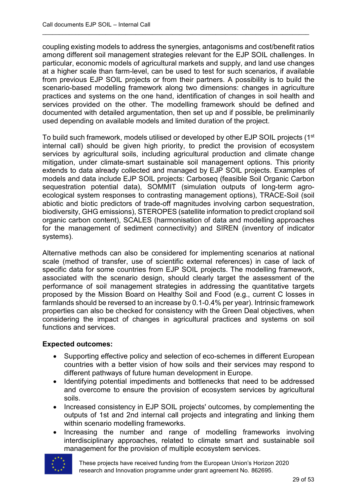coupling existing models to address the synergies, antagonisms and cost/benefit ratios among different soil management strategies relevant for the EJP SOIL challenges. In particular, economic models of agricultural markets and supply, and land use changes at a higher scale than farm-level, can be used to test for such scenarios, if available from previous EJP SOIL projects or from their partners. A possibility is to build the scenario-based modelling framework along two dimensions: changes in agriculture practices and systems on the one hand, identification of changes in soil health and services provided on the other. The modelling framework should be defined and documented with detailed argumentation, then set up and if possible, be preliminarily used depending on available models and limited duration of the project.

\_\_\_\_\_\_\_\_\_\_\_\_\_\_\_\_\_\_\_\_\_\_\_\_\_\_\_\_\_\_\_\_\_\_\_\_\_\_\_\_\_\_\_\_\_\_\_\_\_\_\_\_\_\_\_\_\_\_\_\_\_\_\_\_\_\_\_\_\_\_\_\_\_\_\_\_\_\_\_\_

To build such framework, models utilised or developed by other EJP SOIL projects (1<sup>st</sup> internal call) should be given high priority, to predict the provision of ecosystem services by agricultural soils, including agricultural production and climate change mitigation, under climate-smart sustainable soil management options. This priority extends to data already collected and managed by EJP SOIL projects. Examples of models and data include EJP SOIL projects: Carboseq (feasible Soil Organic Carbon sequestration potential data), SOMMIT (simulation outputs of long-term agroecological system responses to contrasting management options), TRACE-Soil (soil abiotic and biotic predictors of trade-off magnitudes involving carbon sequestration, biodiversity, GHG emissions), STEROPES (satellite information to predict cropland soil organic carbon content), SCALES (harmonisation of data and modelling approaches for the management of sediment connectivity) and SIREN (inventory of indicator systems).

Alternative methods can also be considered for implementing scenarios at national scale (method of transfer, use of scientific external references) in case of lack of specific data for some countries from EJP SOIL projects. The modelling framework, associated with the scenario design, should clearly target the assessment of the performance of soil management strategies in addressing the quantitative targets proposed by the Mission Board on Healthy Soil and Food (e.g., current C losses in farmlands should be reversed to an increase by 0.1-0.4% per year). Intrinsic framework properties can also be checked for consistency with the Green Deal objectives, when considering the impact of changes in agricultural practices and systems on soil functions and services.

#### **Expected outcomes:**

- Supporting effective policy and selection of eco-schemes in different European countries with a better vision of how soils and their services may respond to different pathways of future human development in Europe.
- Identifying potential impediments and bottlenecks that need to be addressed and overcome to ensure the provision of ecosystem services by agricultural soils.
- Increased consistency in EJP SOIL projects' outcomes, by complementing the outputs of 1st and 2nd internal call projects and integrating and linking them within scenario modelling frameworks.
- Increasing the number and range of modelling frameworks involving interdisciplinary approaches, related to climate smart and sustainable soil management for the provision of multiple ecosystem services.



These projects have received funding from the European Union's Horizon 2020 research and Innovation programme under grant agreement No. 862695.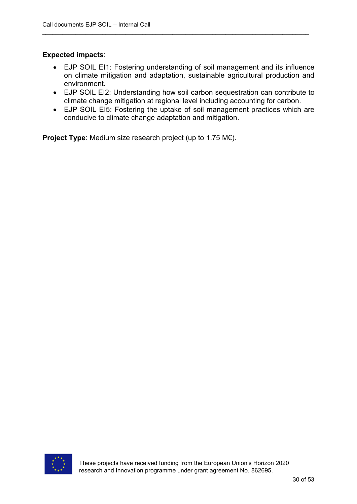# **Expected impacts**:

• EJP SOIL EI1: Fostering understanding of soil management and its influence on climate mitigation and adaptation, sustainable agricultural production and environment.

\_\_\_\_\_\_\_\_\_\_\_\_\_\_\_\_\_\_\_\_\_\_\_\_\_\_\_\_\_\_\_\_\_\_\_\_\_\_\_\_\_\_\_\_\_\_\_\_\_\_\_\_\_\_\_\_\_\_\_\_\_\_\_\_\_\_\_\_\_\_\_\_\_\_\_\_\_\_\_\_

- EJP SOIL EI2: Understanding how soil carbon sequestration can contribute to climate change mitigation at regional level including accounting for carbon.
- EJP SOIL EI5: Fostering the uptake of soil management practices which are conducive to climate change adaptation and mitigation.

**Project Type**: Medium size research project (up to 1.75 M€).

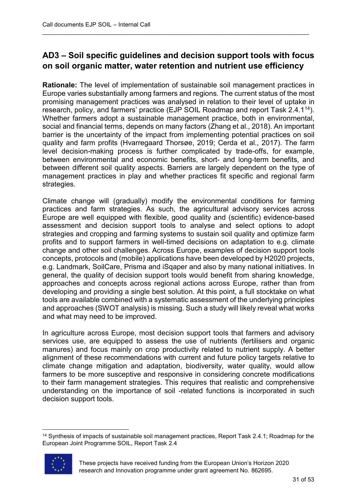# **AD3 – Soil specific guidelines and decision support tools with focus on soil organic matter, water retention and nutrient use efficiency**

\_\_\_\_\_\_\_\_\_\_\_\_\_\_\_\_\_\_\_\_\_\_\_\_\_\_\_\_\_\_\_\_\_\_\_\_\_\_\_\_\_\_\_\_\_\_\_\_\_\_\_\_\_\_\_\_\_\_\_\_\_\_\_\_\_\_\_\_\_\_\_\_\_\_\_\_\_\_\_\_

**Rationale:** The level of implementation of sustainable soil management practices in Europe varies substantially among farmers and regions. The current status of the most promising management practices was analysed in relation to their level of uptake in research, policy, and farmers' practice (EJP SOIL Roadmap and report Task 2.4.1<sup>[14](#page-30-0)</sup>). Whether farmers adopt a sustainable management practice, both in environmental, social and financial terms, depends on many factors (Zhang et al., 2018). An important barrier is the uncertainty of the impact from implementing potential practices on soil quality and farm profits (Hvarregaard Thorsøe, 2019; Cerda et al., 2017). The farm level decision-making process is further complicated by trade-offs, for example, between environmental and economic benefits, short- and long-term benefits, and between different soil quality aspects. Barriers are largely dependent on the type of management practices in play and whether practices fit specific and regional farm strategies.

Climate change will (gradually) modify the environmental conditions for farming practices and farm strategies. As such, the agricultural advisory services across Europe are well equipped with flexible, good quality and (scientific) evidence-based assessment and decision support tools to analyse and select options to adopt strategies and cropping and farming systems to sustain soil quality and optimize farm profits and to support farmers in well-timed decisions on adaptation to e.g. climate change and other soil challenges. Across Europe, examples of decision support tools concepts, protocols and (mobile) applications have been developed by H2020 projects, e.g. Landmark, SoilCare, Prisma and iSqaper and also by many national initiatives. In general, the quality of decision support tools would benefit from sharing knowledge, approaches and concepts across regional actions across Europe, rather than from developing and providing a single best solution. At this point, a full stocktake on what tools are available combined with a systematic assessment of the underlying principles and approaches (SWOT analysis) is missing. Such a study will likely reveal what works and what may need to be improved.

In agriculture across Europe, most decision support tools that farmers and advisory services use, are equipped to assess the use of nutrients (fertilisers and organic manures) and focus mainly on crop productivity related to nutrient supply. A better alignment of these recommendations with current and future policy targets relative to climate change mitigation and adaptation, biodiversity, water quality, would allow farmers to be more susceptive and responsive in considering concrete modifications to their farm management strategies. This requires that realistic and comprehensive understanding on the importance of soil -related functions is incorporated in such decision support tools.

<span id="page-30-0"></span> <sup>14</sup> Synthesis of impacts of sustainable soil management practices, Report Task 2.4.1; Roadmap for the European Joint Programme SOIL, Report Task 2.4



These projects have received funding from the European Union's Horizon 2020 research and Innovation programme under grant agreement No. 862695.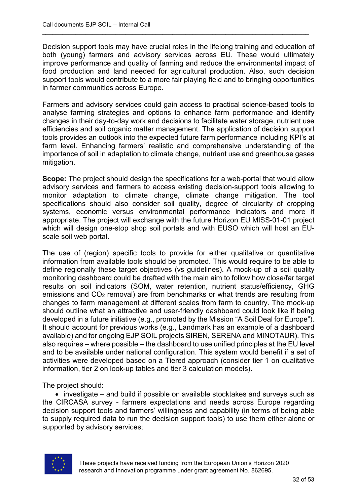Decision support tools may have crucial roles in the lifelong training and education of both (young) farmers and advisory services across EU. These would ultimately improve performance and quality of farming and reduce the environmental impact of food production and land needed for agricultural production. Also, such decision support tools would contribute to a more fair playing field and to bringing opportunities in farmer communities across Europe.

\_\_\_\_\_\_\_\_\_\_\_\_\_\_\_\_\_\_\_\_\_\_\_\_\_\_\_\_\_\_\_\_\_\_\_\_\_\_\_\_\_\_\_\_\_\_\_\_\_\_\_\_\_\_\_\_\_\_\_\_\_\_\_\_\_\_\_\_\_\_\_\_\_\_\_\_\_\_\_\_

Farmers and advisory services could gain access to practical science-based tools to analyse farming strategies and options to enhance farm performance and identify changes in their day-to-day work and decisions to facilitate water storage, nutrient use efficiencies and soil organic matter management. The application of decision support tools provides an outlook into the expected future farm performance including KPI's at farm level. Enhancing farmers' realistic and comprehensive understanding of the importance of soil in adaptation to climate change, nutrient use and greenhouse gases mitigation.

**Scope:** The project should design the specifications for a web-portal that would allow advisory services and farmers to access existing decision-support tools allowing to monitor adaptation to climate change, climate change mitigation. The tool specifications should also consider soil quality, degree of circularity of cropping systems, economic versus environmental performance indicators and more if appropriate. The project will exchange with the future Horizon EU MISS-01-01 project which will design one-stop shop soil portals and with EUSO which will host an EUscale soil web portal.

The use of (region) specific tools to provide for either qualitative or quantitative information from available tools should be promoted. This would require to be able to define regionally these target objectives (vs guidelines). A mock-up of a soil quality monitoring dashboard could be drafted with the main aim to follow how close/far target results on soil indicators (SOM, water retention, nutrient status/efficiency, GHG emissions and CO2 removal) are from benchmarks or what trends are resulting from changes to farm management at different scales from farm to country. The mock-up should outline what an attractive and user-friendly dashboard could look like if being developed in a future initiative (e.g., promoted by the Mission "A Soil Deal for Europe"). It should account for previous works (e.g., Landmark has an example of a dashboard available) and for ongoing EJP SOIL projects SIREN, SERENA and MINOTAUR). This also requires – where possible – the dashboard to use unified principles at the EU level and to be available under national configuration. This system would benefit if a set of activities were developed based on a Tiered approach (consider tier 1 on qualitative information, tier 2 on look-up tables and tier 3 calculation models).

The project should:

• investigate – and build if possible on available stocktakes and surveys such as the CIRCASA survey - farmers expectations and needs across Europe regarding decision support tools and farmers' willingness and capability (in terms of being able to supply required data to run the decision support tools) to use them either alone or supported by advisory services;

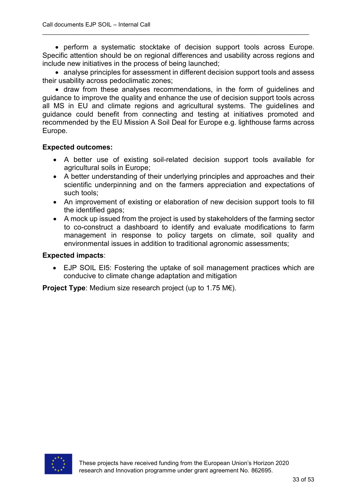• perform a systematic stocktake of decision support tools across Europe. Specific attention should be on regional differences and usability across regions and include new initiatives in the process of being launched;

\_\_\_\_\_\_\_\_\_\_\_\_\_\_\_\_\_\_\_\_\_\_\_\_\_\_\_\_\_\_\_\_\_\_\_\_\_\_\_\_\_\_\_\_\_\_\_\_\_\_\_\_\_\_\_\_\_\_\_\_\_\_\_\_\_\_\_\_\_\_\_\_\_\_\_\_\_\_\_\_

• analyse principles for assessment in different decision support tools and assess their usability across pedoclimatic zones;

• draw from these analyses recommendations, in the form of guidelines and guidance to improve the quality and enhance the use of decision support tools across all MS in EU and climate regions and agricultural systems. The guidelines and guidance could benefit from connecting and testing at initiatives promoted and recommended by the EU Mission A Soil Deal for Europe e.g. lighthouse farms across Europe.

#### **Expected outcomes:**

- A better use of existing soil-related decision support tools available for agricultural soils in Europe;
- A better understanding of their underlying principles and approaches and their scientific underpinning and on the farmers appreciation and expectations of such tools;
- An improvement of existing or elaboration of new decision support tools to fill the identified gaps;
- A mock up issued from the project is used by stakeholders of the farming sector to co-construct a dashboard to identify and evaluate modifications to farm management in response to policy targets on climate, soil quality and environmental issues in addition to traditional agronomic assessments;

#### **Expected impacts**:

• EJP SOIL EI5: Fostering the uptake of soil management practices which are conducive to climate change adaptation and mitigation

**Project Type**: Medium size research project (up to 1.75 M€).

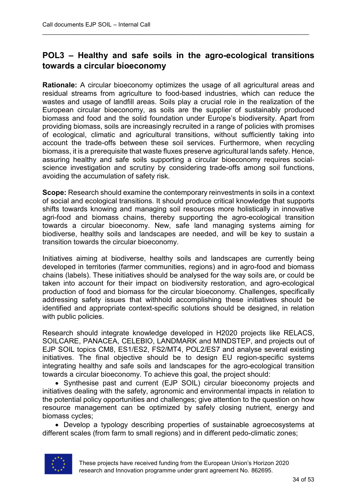# **POL3 – Healthy and safe soils in the agro-ecological transitions towards a circular bioeconomy**

\_\_\_\_\_\_\_\_\_\_\_\_\_\_\_\_\_\_\_\_\_\_\_\_\_\_\_\_\_\_\_\_\_\_\_\_\_\_\_\_\_\_\_\_\_\_\_\_\_\_\_\_\_\_\_\_\_\_\_\_\_\_\_\_\_\_\_\_\_\_\_\_\_\_\_\_\_\_\_\_

**Rationale:** A circular bioeconomy optimizes the usage of all agricultural areas and residual streams from agriculture to food-based industries, which can reduce the wastes and usage of landfill areas. Soils play a crucial role in the realization of the European circular bioeconomy, as soils are the supplier of sustainably produced biomass and food and the solid foundation under Europe's biodiversity. Apart from providing biomass, soils are increasingly recruited in a range of policies with promises of ecological, climatic and agricultural transitions, without sufficiently taking into account the trade-offs between these soil services. Furthermore, when recycling biomass, it is a prerequisite that waste fluxes preserve agricultural lands safety. Hence, assuring healthy and safe soils supporting a circular bioeconomy requires socialscience investigation and scrutiny by considering trade-offs among soil functions, avoiding the accumulation of safety risk.

**Scope:** Research should examine the contemporary reinvestments in soils in a context of social and ecological transitions. It should produce critical knowledge that supports shifts towards knowing and managing soil resources more holistically in innovative agri-food and biomass chains, thereby supporting the agro-ecological transition towards a circular bioeconomy. New, safe land managing systems aiming for biodiverse, healthy soils and landscapes are needed, and will be key to sustain a transition towards the circular bioeconomy.

Initiatives aiming at biodiverse, healthy soils and landscapes are currently being developed in territories (farmer communities, regions) and in agro-food and biomass chains (labels). These initiatives should be analysed for the way soils are, or could be taken into account for their impact on biodiversity restoration, and agro-ecological production of food and biomass for the circular bioeconomy. Challenges, specifically addressing safety issues that withhold accomplishing these initiatives should be identified and appropriate context-specific solutions should be designed, in relation with public policies.

Research should integrate knowledge developed in H2020 projects like RELACS, SOILCARE, PANACEA, CELEBIO, LANDMARK and MINDSTEP, and projects out of EJP SOIL topics CM8, ES1/ES2, FS2/MT4, POL2/ES7 and analyse several existing initiatives. The final objective should be to design EU region-specific systems integrating healthy and safe soils and landscapes for the agro-ecological transition towards a circular bioeconomy. To achieve this goal, the project should:

• Synthesise past and current (EJP SOIL) circular bioeconomy projects and initiatives dealing with the safety, agronomic and environmental impacts in relation to the potential policy opportunities and challenges; give attention to the question on how resource management can be optimized by safely closing nutrient, energy and biomass cycles;

• Develop a typology describing properties of sustainable agroecosystems at different scales (from farm to small regions) and in different pedo-climatic zones;

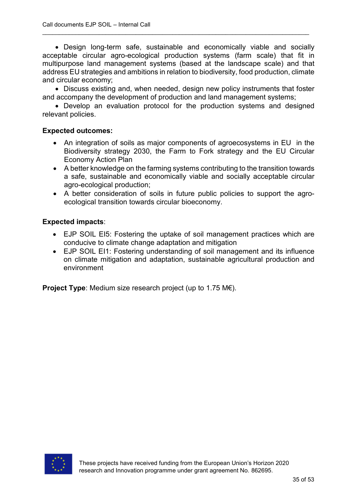• Design long-term safe, sustainable and economically viable and socially acceptable circular agro-ecological production systems (farm scale) that fit in multipurpose land management systems (based at the landscape scale) and that address EU strategies and ambitions in relation to biodiversity, food production, climate and circular economy;

\_\_\_\_\_\_\_\_\_\_\_\_\_\_\_\_\_\_\_\_\_\_\_\_\_\_\_\_\_\_\_\_\_\_\_\_\_\_\_\_\_\_\_\_\_\_\_\_\_\_\_\_\_\_\_\_\_\_\_\_\_\_\_\_\_\_\_\_\_\_\_\_\_\_\_\_\_\_\_\_

• Discuss existing and, when needed, design new policy instruments that foster and accompany the development of production and land management systems;

• Develop an evaluation protocol for the production systems and designed relevant policies.

#### **Expected outcomes:**

- An integration of soils as major components of agroecosystems in EU in the Biodiversity strategy 2030, the Farm to Fork strategy and the EU Circular Economy Action Plan
- A better knowledge on the farming systems contributing to the transition towards a safe, sustainable and economically viable and socially acceptable circular agro-ecological production;
- A better consideration of soils in future public policies to support the agroecological transition towards circular bioeconomy.

#### **Expected impacts**:

- EJP SOIL EI5: Fostering the uptake of soil management practices which are conducive to climate change adaptation and mitigation
- EJP SOIL EI1: Fostering understanding of soil management and its influence on climate mitigation and adaptation, sustainable agricultural production and environment

**Project Type**: Medium size research project (up to 1.75 M€).

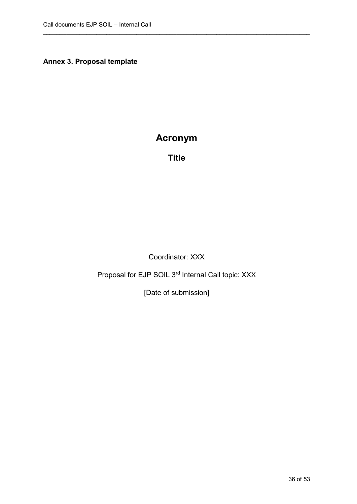**Annex 3. Proposal template**

# **Acronym**

\_\_\_\_\_\_\_\_\_\_\_\_\_\_\_\_\_\_\_\_\_\_\_\_\_\_\_\_\_\_\_\_\_\_\_\_\_\_\_\_\_\_\_\_\_\_\_\_\_\_\_\_\_\_\_\_\_\_\_\_\_\_\_\_\_\_\_\_\_\_\_\_\_\_\_\_\_\_\_\_

**Title**

Coordinator: XXX

Proposal for EJP SOIL 3rd Internal Call topic: XXX

[Date of submission]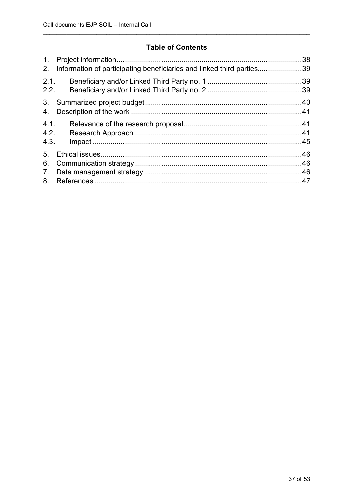# **Table of Contents**

| 1.<br>2.                         | Information of participating beneficiaries and linked third parties39 | .38 |
|----------------------------------|-----------------------------------------------------------------------|-----|
| 2.1.<br>2.2.                     |                                                                       |     |
| 4.                               |                                                                       |     |
| 4.1.<br>4.2.<br>4.3.             |                                                                       |     |
| 5 <sub>1</sub><br>6.<br>7.<br>8. |                                                                       |     |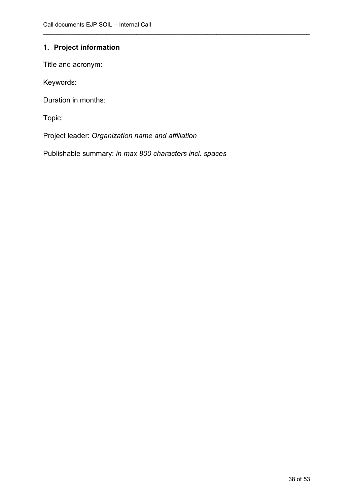# <span id="page-37-0"></span>**1. Project information**

Title and acronym:

Keywords:

Duration in months:

Topic:

Project leader: *Organization name and affiliation*

Publishable summary: *in max 800 characters incl. spaces*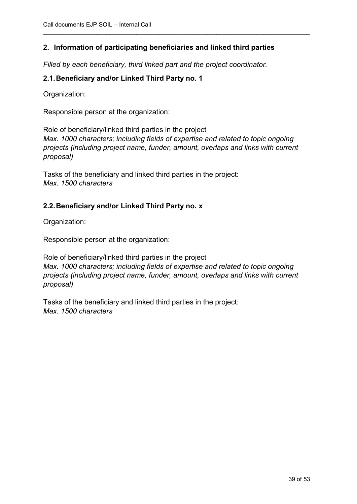# <span id="page-38-0"></span>**2. Information of participating beneficiaries and linked third parties**

\_\_\_\_\_\_\_\_\_\_\_\_\_\_\_\_\_\_\_\_\_\_\_\_\_\_\_\_\_\_\_\_\_\_\_\_\_\_\_\_\_\_\_\_\_\_\_\_\_\_\_\_\_\_\_\_\_\_\_\_\_\_\_\_\_\_\_\_\_\_\_\_\_\_\_\_\_\_\_\_

*Filled by each beneficiary, third linked part and the project coordinator.*

#### <span id="page-38-1"></span>**2.1.Beneficiary and/or Linked Third Party no. 1**

Organization:

Responsible person at the organization:

Role of beneficiary/linked third parties in the project *Max. 1000 characters; including fields of expertise and related to topic ongoing projects (including project name, funder, amount, overlaps and links with current proposal)*

Tasks of the beneficiary and linked third parties in the project: *Max. 1500 characters*

#### <span id="page-38-2"></span>**2.2.Beneficiary and/or Linked Third Party no. x**

Organization:

Responsible person at the organization:

Role of beneficiary/linked third parties in the project *Max. 1000 characters; including fields of expertise and related to topic ongoing projects (including project name, funder, amount, overlaps and links with current proposal)*

Tasks of the beneficiary and linked third parties in the project: *Max. 1500 characters*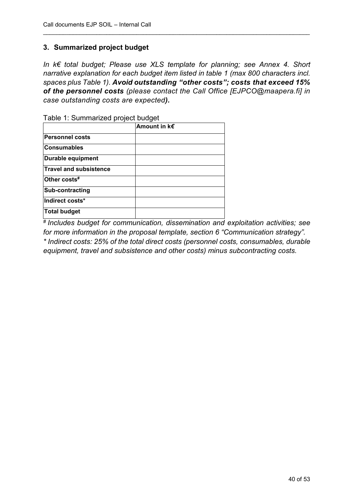## <span id="page-39-0"></span>**3. Summarized project budget**

*In k€ total budget; Please use XLS template for planning; see Annex 4. Short narrative explanation for each budget item listed in table 1 (max 800 characters incl. spaces plus Table 1). Avoid outstanding "other costs"; costs that exceed 15% of the personnel costs (please contact the Call Office [EJPCO@maapera.fi] in case outstanding costs are expected).* 

\_\_\_\_\_\_\_\_\_\_\_\_\_\_\_\_\_\_\_\_\_\_\_\_\_\_\_\_\_\_\_\_\_\_\_\_\_\_\_\_\_\_\_\_\_\_\_\_\_\_\_\_\_\_\_\_\_\_\_\_\_\_\_\_\_\_\_\_\_\_\_\_\_\_\_\_\_\_\_\_

| rabic 1. Odiffifiarized project budget |                   |  |  |  |  |  |
|----------------------------------------|-------------------|--|--|--|--|--|
|                                        | Amount in $k \in$ |  |  |  |  |  |
| <b>Personnel costs</b>                 |                   |  |  |  |  |  |
| <b>Consumables</b>                     |                   |  |  |  |  |  |
| Durable equipment                      |                   |  |  |  |  |  |
| <b>Travel and subsistence</b>          |                   |  |  |  |  |  |
| Other costs#                           |                   |  |  |  |  |  |
| Sub-contracting                        |                   |  |  |  |  |  |
| Indirect costs*                        |                   |  |  |  |  |  |
| Total budget                           |                   |  |  |  |  |  |

Table 1: Summarized project budget

*# Includes budget for communication, dissemination and exploitation activities; see for more information in the proposal template, section 6 "Communication strategy". \* Indirect costs: 25% of the total direct costs (personnel costs, consumables, durable equipment, travel and subsistence and other costs) minus subcontracting costs.*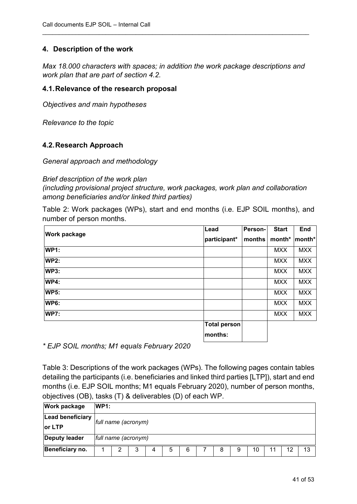## <span id="page-40-0"></span>**4. Description of the work**

*Max 18.000 characters with spaces; in addition the work package descriptions and work plan that are part of section 4.2.*

\_\_\_\_\_\_\_\_\_\_\_\_\_\_\_\_\_\_\_\_\_\_\_\_\_\_\_\_\_\_\_\_\_\_\_\_\_\_\_\_\_\_\_\_\_\_\_\_\_\_\_\_\_\_\_\_\_\_\_\_\_\_\_\_\_\_\_\_\_\_\_\_\_\_\_\_\_\_\_\_

#### <span id="page-40-1"></span>**4.1.Relevance of the research proposal**

*Objectives and main hypotheses*

*Relevance to the topic*

#### <span id="page-40-2"></span>**4.2.Research Approach**

*General approach and methodology*

#### *Brief description of the work plan*

*(including provisional project structure, work packages, work plan and collaboration among beneficiaries and/or linked third parties)*

Table 2: Work packages (WPs), start and end months (i.e. EJP SOIL months), and number of person months.

| <b>Work package</b> | Lead                | Person- | <b>Start</b> | End            |
|---------------------|---------------------|---------|--------------|----------------|
|                     | participant*        | months  | month*       | $ $ month* $ $ |
| <b>WP1:</b>         |                     |         | <b>MXX</b>   | <b>MXX</b>     |
| <b>WP2:</b>         |                     |         | <b>MXX</b>   | <b>MXX</b>     |
| <b>WP3:</b>         |                     |         | <b>MXX</b>   | <b>MXX</b>     |
| <b>WP4:</b>         |                     |         | <b>MXX</b>   | <b>MXX</b>     |
| <b>WP5:</b>         |                     |         | <b>MXX</b>   | <b>MXX</b>     |
| <b>WP6:</b>         |                     |         | <b>MXX</b>   | <b>MXX</b>     |
| <b>WP7:</b>         |                     |         | <b>MXX</b>   | <b>MXX</b>     |
|                     | <b>Total person</b> |         |              |                |
|                     | months:             |         |              |                |

*\* EJP SOIL months; M1 equals February 2020*

Table 3: Descriptions of the work packages (WPs). The following pages contain tables detailing the participants (i.e. beneficiaries and linked third parties [LTP]), start and end months (i.e. EJP SOIL months; M1 equals February 2020), number of person months, objectives (OB), tasks (T) & deliverables (D) of each WP.

| <b>Work package</b>  | WP1:                |                     |   |   |   |   |  |   |   |    |    |    |
|----------------------|---------------------|---------------------|---|---|---|---|--|---|---|----|----|----|
| Lead beneficiary     |                     |                     |   |   |   |   |  |   |   |    |    |    |
| lor LTP              |                     | full name (acronym) |   |   |   |   |  |   |   |    |    |    |
| <b>Deputy leader</b> | full name (acronym) |                     |   |   |   |   |  |   |   |    |    |    |
| Beneficiary no.      |                     | ◠                   | 3 | 4 | 5 | 6 |  | 8 | 9 | 10 | 12 | 13 |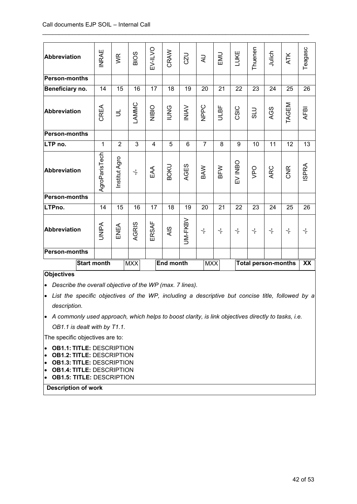| <b>Abbreviation</b>  | <b>INRAE</b>  | <b>WR</b>      | <b>BIOS</b>          | EV-ILVO      | CRAW             | CZU             | $\overline{z}$     | EMU              | LUKE             | Thuenen          | Julich                     | <b>ATK</b>       | Teagasc          |
|----------------------|---------------|----------------|----------------------|--------------|------------------|-----------------|--------------------|------------------|------------------|------------------|----------------------------|------------------|------------------|
| <b>Person-months</b> |               |                |                      |              |                  |                 |                    |                  |                  |                  |                            |                  |                  |
| Beneficiary no.      | 14            | 15             | 16                   | 17           | 18               | 19              | 20                 | 21               | 22               | 23               | 24                         | 25               | 26               |
| <b>Abbreviation</b>  | CREA          | $\exists$      | LAMMC                | <b>NIBIO</b> | <b>SAND</b>      | <b>NINI</b>     | NPPC               | ULBF             | CSIC             | <b>DTS</b>       | AGS                        | TAGEM            | <b>AFBI</b>      |
| <b>Person-months</b> |               |                |                      |              |                  |                 |                    |                  |                  |                  |                            |                  |                  |
| LTP no.              | 1             | $\overline{2}$ | 3                    | 4            | 5                | $6\phantom{1}6$ | $\overline{7}$     | 8                | 9                | 10               | 11                         | 12               | 13               |
| <b>Abbreviation</b>  | AgroParisTech | Institut Agro  | $\frac{1}{\sqrt{2}}$ | EAA          | <b>BOKU</b>      | AGES            | BAW                | BFW              | EV INBO          | OdA              | <b>ARC</b>                 | <b>CNR</b>       | <b>ISPRA</b>     |
| <b>Person-months</b> |               |                |                      |              |                  |                 |                    |                  |                  |                  |                            |                  |                  |
| LTPno.               | 14            | 15             | 16                   | 17           | 18               | 19              | 20                 | 21               | 22               | 23               | 24                         | 25               | 26               |
| Abbreviation         | <b>UNIPA</b>  | ENEA           | AGRIS                | ERSAF        | <b>AIS</b>       | <b>JM-FKBV</b>  | $\frac{1}{\Gamma}$ | $\frac{1}{\tau}$ | $\frac{1}{\tau}$ | $\frac{1}{\tau}$ | $\frac{1}{\tau}$           | $\frac{1}{\tau}$ | $\frac{1}{\tau}$ |
| <b>Person-months</b> |               |                |                      |              |                  |                 |                    |                  |                  |                  |                            |                  |                  |
| <b>Start month</b>   |               |                | <b>MXX</b>           |              | <b>End month</b> |                 | <b>MXX</b>         |                  |                  |                  | <b>Total person-months</b> |                  | XX               |

#### **Objectives**

• *Describe the overall objective of the WP (max. 7 lines).*

• *List the specific objectives of the WP, including a descriptive but concise title, followed by a description.*

• *A commonly used approach, which helps to boost clarity, is link objectives directly to tasks, i.e. OB1.1 is dealt with by T1.1.*

The specific objectives are to:

- **OB1.1: TITLE:** DESCRIPTION
- **OB1.2: TITLE:** DESCRIPTION
- **OB1.3: TITLE:** DESCRIPTION
- **OB1.4: TITLE:** DESCRIPTION
- **OB1.5: TITLE:** DESCRIPTION

**Description of work**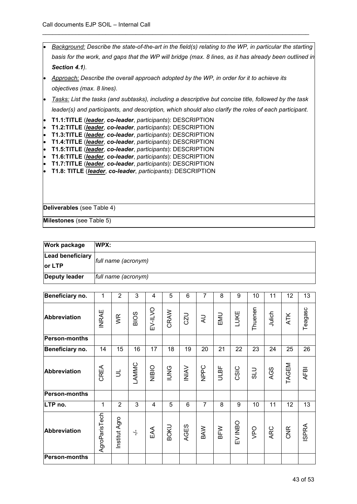|                        | Background: Describe the state-of-the-art in the field(s) relating to the WP, in particular the starting               |  |  |  |  |  |  |
|------------------------|------------------------------------------------------------------------------------------------------------------------|--|--|--|--|--|--|
|                        | basis for the work, and gaps that the WP will bridge (max. 8 lines, as it has already been outlined in                 |  |  |  |  |  |  |
|                        | Section 4.1).                                                                                                          |  |  |  |  |  |  |
|                        | Approach: Describe the overall approach adopted by the WP, in order for it to achieve its                              |  |  |  |  |  |  |
|                        | objectives (max. 8 lines).                                                                                             |  |  |  |  |  |  |
|                        | Tasks: List the tasks (and subtasks), including a descriptive but concise title, followed by the task                  |  |  |  |  |  |  |
|                        | leader(s) and participants, and description, which should also clarify the roles of each participant.                  |  |  |  |  |  |  |
|                        | T1.1:TITLE (leader, co-leader, participants): DESCRIPTION                                                              |  |  |  |  |  |  |
| $\bullet$<br>$\bullet$ | T1.2:TITLE (leader, co-leader, participants): DESCRIPTION<br>T1.3:TITLE (leader, co-leader, participants): DESCRIPTION |  |  |  |  |  |  |
| $\bullet$              | T1.4:TITLE (leader, co-leader, participants): DESCRIPTION                                                              |  |  |  |  |  |  |
| $\bullet$              | T1.5:TITLE (leader, co-leader, participants): DESCRIPTION                                                              |  |  |  |  |  |  |
| $\bullet$              | T1.6:TITLE ( <i>leader</i> , co-leader, participants): DESCRIPTION                                                     |  |  |  |  |  |  |
| l.                     | T1.7:TITLE (leader, co-leader, participants): DESCRIPTION                                                              |  |  |  |  |  |  |
|                        | T1.8: TITLE (leader, co-leader, participants): DESCRIPTION                                                             |  |  |  |  |  |  |
|                        |                                                                                                                        |  |  |  |  |  |  |
|                        |                                                                                                                        |  |  |  |  |  |  |
|                        |                                                                                                                        |  |  |  |  |  |  |
|                        | Deliverables (see Table 4)                                                                                             |  |  |  |  |  |  |
|                        | Milestones (see Table 5)                                                                                               |  |  |  |  |  |  |

| <b>Work package</b>     | WPX:                |
|-------------------------|---------------------|
| <b>Lead beneficiary</b> | full name (acronym) |
| or LTP                  |                     |
| <b>Deputy leader</b>    | full name (acronym) |

| Beneficiary no.      | 1             | $\overline{2}$ | 3                    | 4            | 5           | 6            | $\overline{7}$ | 8           | 9       | 10      | 11     | 12    | 13           |
|----------------------|---------------|----------------|----------------------|--------------|-------------|--------------|----------------|-------------|---------|---------|--------|-------|--------------|
| <b>Abbreviation</b>  | <b>INRAE</b>  | WR             | <b>BIOS</b>          | EV-ILVO      | CRAW        | CZU          | $\overline{z}$ | EMU         | LUKE    | Thuenen | Julich | ATK   | Teagasc      |
| <b>Person-months</b> |               |                |                      |              |             |              |                |             |         |         |        |       |              |
| Beneficiary no.      | 14            | 15             | 16                   | 17           | 18          | 19           | 20             | 21          | 22      | 23      | 24     | 25    | 26           |
| <b>Abbreviation</b>  | CREA          | $\equiv$       | LAMMC                | <b>NIBIO</b> | <b>PNO</b>  | <b>INIAV</b> | NPPC           | <b>ULBF</b> | CSIC    | OTS     | AGS    | TAGEM | <b>AFBI</b>  |
| <b>Person-months</b> |               |                |                      |              |             |              |                |             |         |         |        |       |              |
| LTP no.              | 1             | 2              | 3                    | 4            | 5           | 6            | $\overline{7}$ | 8           | 9       | 10      | 11     | 12    | 13           |
| <b>Abbreviation</b>  | AgroParisTech | Institut Agro  | $\frac{1}{\sqrt{2}}$ | EAA          | <b>BOKU</b> | AGES         | BAW            | BFW         | EV INBO | VPO     | ARC    | CNR   | <b>ISPRA</b> |
| <b>Person-months</b> |               |                |                      |              |             |              |                |             |         |         |        |       |              |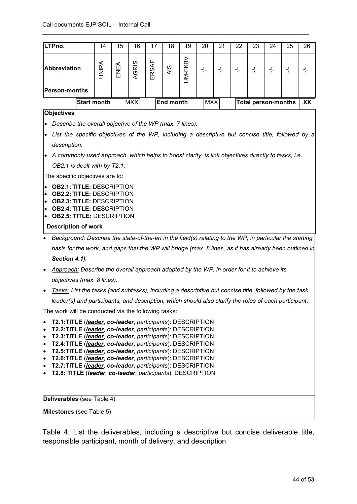| LTPno.                                                                                                                                                                                                                                                                                                                                                                                                                                                                                                                                                                                                        | 14                                                                                                       | 15   | 16         | 17    | 18               | 19             | 20               | 21               | 22               | 23               | 24                         | 25               | 26     |
|---------------------------------------------------------------------------------------------------------------------------------------------------------------------------------------------------------------------------------------------------------------------------------------------------------------------------------------------------------------------------------------------------------------------------------------------------------------------------------------------------------------------------------------------------------------------------------------------------------------|----------------------------------------------------------------------------------------------------------|------|------------|-------|------------------|----------------|------------------|------------------|------------------|------------------|----------------------------|------------------|--------|
| Abbreviation                                                                                                                                                                                                                                                                                                                                                                                                                                                                                                                                                                                                  | <b>AdiNL</b>                                                                                             | ENEA | AGRIS      | ERSAF | <b>AIS</b>       | <b>JM-FKBV</b> | $\frac{1}{\tau}$ | $\frac{1}{\tau}$ | $\frac{1}{\tau}$ | $\frac{1}{\tau}$ | $\frac{1}{\tau}$           | $\frac{1}{\tau}$ | $\div$ |
| <b>Person-months</b>                                                                                                                                                                                                                                                                                                                                                                                                                                                                                                                                                                                          |                                                                                                          |      |            |       |                  |                |                  |                  |                  |                  |                            |                  |        |
| <b>Start month</b>                                                                                                                                                                                                                                                                                                                                                                                                                                                                                                                                                                                            |                                                                                                          |      | <b>MXX</b> |       | <b>End month</b> |                | <b>MXX</b>       |                  |                  |                  | <b>Total person-months</b> |                  | XX     |
| <b>Objectives</b>                                                                                                                                                                                                                                                                                                                                                                                                                                                                                                                                                                                             |                                                                                                          |      |            |       |                  |                |                  |                  |                  |                  |                            |                  |        |
| Describe the overall objective of the WP (max. 7 lines).                                                                                                                                                                                                                                                                                                                                                                                                                                                                                                                                                      |                                                                                                          |      |            |       |                  |                |                  |                  |                  |                  |                            |                  |        |
| List the specific objectives of the WP, including a descriptive but concise title, followed by a                                                                                                                                                                                                                                                                                                                                                                                                                                                                                                              |                                                                                                          |      |            |       |                  |                |                  |                  |                  |                  |                            |                  |        |
| description.                                                                                                                                                                                                                                                                                                                                                                                                                                                                                                                                                                                                  |                                                                                                          |      |            |       |                  |                |                  |                  |                  |                  |                            |                  |        |
| A commonly used approach, which helps to boost clarity, is link objectives directly to tasks, i.e.<br>$\bullet$                                                                                                                                                                                                                                                                                                                                                                                                                                                                                               |                                                                                                          |      |            |       |                  |                |                  |                  |                  |                  |                            |                  |        |
| OB2.1 is dealt with by T2.1.                                                                                                                                                                                                                                                                                                                                                                                                                                                                                                                                                                                  |                                                                                                          |      |            |       |                  |                |                  |                  |                  |                  |                            |                  |        |
| The specific objectives are to:                                                                                                                                                                                                                                                                                                                                                                                                                                                                                                                                                                               |                                                                                                          |      |            |       |                  |                |                  |                  |                  |                  |                            |                  |        |
| <b>OB2.1: TITLE: DESCRIPTION</b><br><b>OB2.2: TITLE: DESCRIPTION</b><br>$\bullet$<br><b>OB2.3: TITLE: DESCRIPTION</b><br>$\bullet$<br><b>OB2.4: TITLE: DESCRIPTION</b><br>$\bullet$<br><b>OB2.5: TITLE: DESCRIPTION</b><br>$\bullet$                                                                                                                                                                                                                                                                                                                                                                          |                                                                                                          |      |            |       |                  |                |                  |                  |                  |                  |                            |                  |        |
| <b>Description of work</b>                                                                                                                                                                                                                                                                                                                                                                                                                                                                                                                                                                                    |                                                                                                          |      |            |       |                  |                |                  |                  |                  |                  |                            |                  |        |
|                                                                                                                                                                                                                                                                                                                                                                                                                                                                                                                                                                                                               | Background: Describe the state-of-the-art in the field(s) relating to the WP, in particular the starting |      |            |       |                  |                |                  |                  |                  |                  |                            |                  |        |
| basis for the work, and gaps that the WP will bridge (max. 8 lines, as it has already been outlined in                                                                                                                                                                                                                                                                                                                                                                                                                                                                                                        |                                                                                                          |      |            |       |                  |                |                  |                  |                  |                  |                            |                  |        |
| Section 4.1).                                                                                                                                                                                                                                                                                                                                                                                                                                                                                                                                                                                                 |                                                                                                          |      |            |       |                  |                |                  |                  |                  |                  |                            |                  |        |
| Approach: Describe the overall approach adopted by the WP, in order for it to achieve its<br>$\bullet$                                                                                                                                                                                                                                                                                                                                                                                                                                                                                                        |                                                                                                          |      |            |       |                  |                |                  |                  |                  |                  |                            |                  |        |
| objectives (max. 8 lines).                                                                                                                                                                                                                                                                                                                                                                                                                                                                                                                                                                                    |                                                                                                          |      |            |       |                  |                |                  |                  |                  |                  |                            |                  |        |
| Tasks: List the tasks (and subtasks), including a descriptive but concise title, followed by the task                                                                                                                                                                                                                                                                                                                                                                                                                                                                                                         |                                                                                                          |      |            |       |                  |                |                  |                  |                  |                  |                            |                  |        |
| leader(s) and participants, and description, which should also clarify the roles of each participant.                                                                                                                                                                                                                                                                                                                                                                                                                                                                                                         |                                                                                                          |      |            |       |                  |                |                  |                  |                  |                  |                            |                  |        |
| The work will be conducted via the following tasks:                                                                                                                                                                                                                                                                                                                                                                                                                                                                                                                                                           |                                                                                                          |      |            |       |                  |                |                  |                  |                  |                  |                            |                  |        |
| T2.1:TITLE (leader, co-leader, participants): DESCRIPTION<br>$\bullet$<br>T2.2:TITLE (leader, co-leader, participants): DESCRIPTION<br>$\bullet$<br>T2.3:TITLE (leader, co-leader, participants): DESCRIPTION<br>$\bullet$<br>T2.4:TITLE (leader, co-leader, participants): DESCRIPTION<br>$\bullet$<br>T2.5:TITLE (leader, co-leader, participants): DESCRIPTION<br>$\bullet$<br>T2.6:TITLE (leader, co-leader, participants): DESCRIPTION<br>$\bullet$<br>T2.7:TITLE (leader, co-leader, participants): DESCRIPTION<br>$\bullet$<br>T2.8: TITLE (leader, co-leader, participants): DESCRIPTION<br>$\bullet$ |                                                                                                          |      |            |       |                  |                |                  |                  |                  |                  |                            |                  |        |
| Deliverables (see Table 4)                                                                                                                                                                                                                                                                                                                                                                                                                                                                                                                                                                                    |                                                                                                          |      |            |       |                  |                |                  |                  |                  |                  |                            |                  |        |
| Milestones (see Table 5)                                                                                                                                                                                                                                                                                                                                                                                                                                                                                                                                                                                      |                                                                                                          |      |            |       |                  |                |                  |                  |                  |                  |                            |                  |        |

Table 4: List the deliverables, including a descriptive but concise deliverable title, responsible participant, month of delivery, and description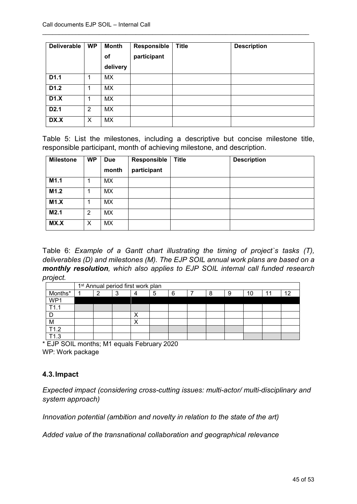| <b>Deliverable</b> | <b>WP</b>      | <b>Month</b><br>Οf | Responsible<br>participant | <b>Title</b> | <b>Description</b> |
|--------------------|----------------|--------------------|----------------------------|--------------|--------------------|
|                    |                | delivery           |                            |              |                    |
| D1.1               | 1              | <b>MX</b>          |                            |              |                    |
| D1.2               | 1              | <b>MX</b>          |                            |              |                    |
| D1.X               |                | MX                 |                            |              |                    |
| D <sub>2.1</sub>   | $\overline{2}$ | MX                 |                            |              |                    |
| DX.X               | X              | <b>MX</b>          |                            |              |                    |

Table 5: List the milestones, including a descriptive but concise milestone title, responsible participant, month of achieving milestone, and description.

| <b>Milestone</b> | <b>WP</b> | <b>Due</b><br>month | Responsible<br>participant | <b>Title</b> | <b>Description</b> |
|------------------|-----------|---------------------|----------------------------|--------------|--------------------|
| M1.1             |           | MX.                 |                            |              |                    |
| M1.2             |           | MX                  |                            |              |                    |
| M1.X             |           | МX                  |                            |              |                    |
| M2.1             | 2         | MX                  |                            |              |                    |
| MX.X             | X         | MX                  |                            |              |                    |

Table 6: *Example of a Gantt chart illustrating the timing of project`s tasks (T), deliverables (D) and milestones (M). The EJP SOIL annual work plans are based on a monthly resolution, which also applies to EJP SOIL internal call funded research project.*

|         | 1 <sup>st</sup> Annual period first work plan |   |  |   |   |  |   |   |    |    |    |
|---------|-----------------------------------------------|---|--|---|---|--|---|---|----|----|----|
| Months* | ⌒                                             | د |  | 5 | 6 |  | Я | 9 | 10 | 44 | 10 |
| WP1     |                                               |   |  |   |   |  |   |   |    |    |    |
| T11     |                                               |   |  |   |   |  |   |   |    |    |    |
|         |                                               |   |  |   |   |  |   |   |    |    |    |
| M       |                                               |   |  |   |   |  |   |   |    |    |    |
| T1.2    |                                               |   |  |   |   |  |   |   |    |    |    |
| ำว      |                                               |   |  |   |   |  |   |   |    |    |    |

\* EJP SOIL months; M1 equals February 2020 WP: Work package

# <span id="page-44-0"></span>**4.3.Impact**

*Expected impact (considering cross-cutting issues: multi-actor/ multi-disciplinary and system approach)*

*Innovation potential (ambition and novelty in relation to the state of the art)*

*Added value of the transnational collaboration and geographical relevance*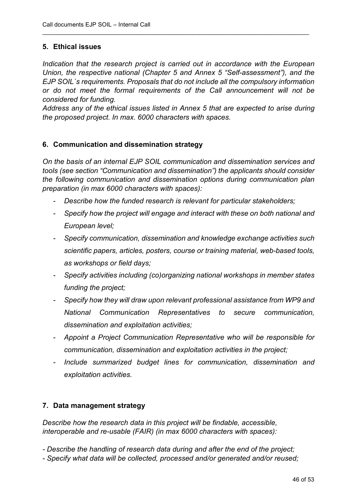#### <span id="page-45-0"></span>**5. Ethical issues**

*Indication that the research project is carried out in accordance with the European Union, the respective national (Chapter 5 and Annex 5 "Self-assessment"), and the EJP SOIL`s requirements. Proposals that do not include all the compulsory information or do not meet the formal requirements of the Call announcement will not be considered for funding.*

\_\_\_\_\_\_\_\_\_\_\_\_\_\_\_\_\_\_\_\_\_\_\_\_\_\_\_\_\_\_\_\_\_\_\_\_\_\_\_\_\_\_\_\_\_\_\_\_\_\_\_\_\_\_\_\_\_\_\_\_\_\_\_\_\_\_\_\_\_\_\_\_\_\_\_\_\_\_\_\_

*Address any of the ethical issues listed in Annex 5 that are expected to arise during the proposed project. In max. 6000 characters with spaces.*

#### <span id="page-45-1"></span>**6. Communication and dissemination strategy**

*On the basis of an internal EJP SOIL communication and dissemination services and tools (see section "Communication and dissemination") the applicants should consider the following communication and dissemination options during communication plan preparation (in max 6000 characters with spaces):*

- *Describe how the funded research is relevant for particular stakeholders;*
- *Specify how the project will engage and interact with these on both national and European level;*
- *Specify communication, dissemination and knowledge exchange activities such scientific papers, articles, posters, course or training material, web-based tools, as workshops or field days;*
- *Specify activities including (co)organizing national workshops in member states funding the project;*
- *Specify how they will draw upon relevant professional assistance from WP9 and National Communication Representatives to secure communication, dissemination and exploitation activities;*
- *Appoint a Project Communication Representative who will be responsible for communication, dissemination and exploitation activities in the project;*
- *Include summarized budget lines for communication, dissemination and exploitation activities.*

#### <span id="page-45-2"></span>**7. Data management strategy**

*Describe how the research data in this project will be findable, accessible, interoperable and re-usable (FAIR) (in max 6000 characters with spaces):* 

- *- Describe the handling of research data during and after the end of the project;*
- *- Specify what data will be collected, processed and/or generated and/or reused;*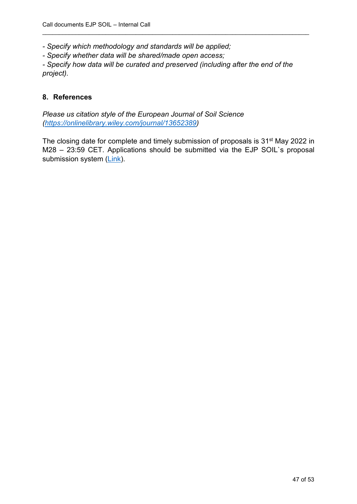*- Specify which methodology and standards will be applied;*

*- Specify whether data will be shared/made open access;*

*- Specify how data will be curated and preserved (including after the end of the project).*

\_\_\_\_\_\_\_\_\_\_\_\_\_\_\_\_\_\_\_\_\_\_\_\_\_\_\_\_\_\_\_\_\_\_\_\_\_\_\_\_\_\_\_\_\_\_\_\_\_\_\_\_\_\_\_\_\_\_\_\_\_\_\_\_\_\_\_\_\_\_\_\_\_\_\_\_\_\_\_\_

#### <span id="page-46-0"></span>**8. References**

*Please us citation style of the European Journal of Soil Science [\(https://onlinelibrary.wiley.com/journal/13652389\)](https://onlinelibrary.wiley.com/journal/13652389)*

The closing date for complete and timely submission of proposals is 31<sup>st</sup> May 2022 in M28 – 23:59 CET. Applications should be submitted via the EJP SOIL`s proposal submission system [\(Link\)](https://www.lyyti.fi/reg/EJPSOIL_3rd_internal_call).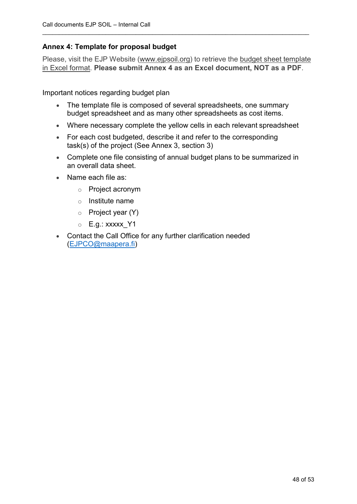# **Annex 4: Template for proposal budget**

Please, visit the EJP Website (www.ejpsoil.org) to retrieve the budget sheet template in Excel format. **Please submit Annex 4 as an Excel document, NOT as a PDF**.

\_\_\_\_\_\_\_\_\_\_\_\_\_\_\_\_\_\_\_\_\_\_\_\_\_\_\_\_\_\_\_\_\_\_\_\_\_\_\_\_\_\_\_\_\_\_\_\_\_\_\_\_\_\_\_\_\_\_\_\_\_\_\_\_\_\_\_\_\_\_\_\_\_\_\_\_\_\_\_\_

Important notices regarding budget plan

- The template file is composed of several spreadsheets, one summary budget spreadsheet and as many other spreadsheets as cost items.
- Where necessary complete the yellow cells in each relevant spreadsheet
- For each cost budgeted, describe it and refer to the corresponding task(s) of the project (See Annex 3, section 3)
- Complete one file consisting of annual budget plans to be summarized in an overall data sheet.
- Name each file as:
	- o Project acronym
	- o Institute name
	- o Project year (Y)
	- $\circ$  E.g.: xxxxx Y1
- Contact the Call Office for any further clarification needed [\(EJPCO@maapera.fi\)](mailto:EJPCO@maapera.fi)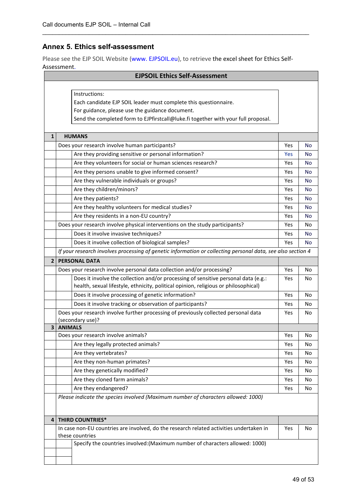## **Annex 5. Ethics self-assessment**

Please see the EJP SOIL Website (www. EJPSOIL.eu), to retrieve the excel sheet for Ethics Self-Assessment.

|                | <b>EJPSOIL Ethics Self-Assessment</b>                                                                       |            |           |
|----------------|-------------------------------------------------------------------------------------------------------------|------------|-----------|
|                |                                                                                                             |            |           |
|                | Instructions:                                                                                               |            |           |
|                | Each candidate EJP SOIL leader must complete this questionnaire.                                            |            |           |
|                | For guidance, please use the guidance document.                                                             |            |           |
|                | Send the completed form to EJPfirstcall@luke.fi together with your full proposal.                           |            |           |
|                |                                                                                                             |            |           |
| $\mathbf{1}$   | <b>HUMANS</b>                                                                                               |            |           |
|                | Does your research involve human participants?                                                              | Yes        | No        |
|                | Are they providing sensitive or personal information?                                                       | <b>Yes</b> | <b>No</b> |
|                | Are they volunteers for social or human sciences research?                                                  | Yes        | <b>No</b> |
|                | Are they persons unable to give informed consent?                                                           | Yes        | <b>No</b> |
|                | Are they vulnerable individuals or groups?                                                                  | Yes        | <b>No</b> |
|                | Are they children/minors?                                                                                   | Yes        | <b>No</b> |
|                | Are they patients?                                                                                          | Yes        | <b>No</b> |
|                | Are they healthy volunteers for medical studies?                                                            | Yes        | No        |
|                | Are they residents in a non-EU country?                                                                     | Yes        | <b>No</b> |
|                | Does your research involve physical interventions on the study participants?                                | Yes        | No        |
|                | Does it involve invasive techniques?                                                                        | Yes        | No        |
|                | Does it involve collection of biological samples?                                                           | Yes        | No        |
|                | If your research involves processing of genetic information or collecting personal data, see also section 4 |            |           |
| $\overline{2}$ | <b>PERSONAL DATA</b>                                                                                        |            |           |
|                | Does your research involve personal data collection and/or processing?                                      | Yes        | No        |
|                | Does it involve the collection and/or processing of sensitive personal data (e.g.:                          | Yes        | No        |
|                | health, sexual lifestyle, ethnicity, political opinion, religious or philosophical)                         |            |           |
|                | Does it involve processing of genetic information?                                                          | Yes        | No        |
|                | Does it involve tracking or observation of participants?                                                    | Yes        | No        |
|                | Does your research involve further processing of previously collected personal data                         | Yes        | No        |
|                | (secondary use)?                                                                                            |            |           |
| 3 <sup>1</sup> | <b>ANIMALS</b>                                                                                              |            |           |
|                | Does your research involve animals?                                                                         | Yes        | No        |
|                | Are they legally protected animals?                                                                         | Yes        | No        |
|                | Are they vertebrates?                                                                                       | Yes        | No        |
|                | Are they non-human primates?                                                                                | Yes        | No        |
|                | Are they genetically modified?                                                                              | Yes        | No        |
|                | Are they cloned farm animals?                                                                               | Yes        | No        |
|                | Are they endangered?                                                                                        | Yes        | No        |
|                | Please indicate the species involved (Maximum number of characters allowed: 1000)                           |            |           |
|                |                                                                                                             |            |           |
| 4              | <b>THIRD COUNTRIES*</b>                                                                                     |            |           |
|                | In case non-EU countries are involved, do the research related activities undertaken in                     | Yes        | No        |
|                | these countries                                                                                             |            |           |
|                | Specify the countries involved: (Maximum number of characters allowed: 1000)                                |            |           |
|                |                                                                                                             |            |           |
|                |                                                                                                             |            |           |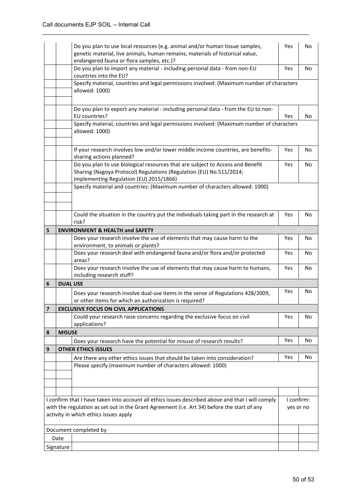|   |                                                                                                                                                                 | Do you plan to use local resources (e.g. animal and/or human tissue samples,<br>genetic material, live animals, human remains, materials of historical value,<br>endangered fauna or flora samples, etc.)? | Yes | No |  |  |  |
|---|-----------------------------------------------------------------------------------------------------------------------------------------------------------------|------------------------------------------------------------------------------------------------------------------------------------------------------------------------------------------------------------|-----|----|--|--|--|
|   |                                                                                                                                                                 | Do you plan to import any material - including personal data - from non-EU<br>countries into the EU?                                                                                                       | Yes | No |  |  |  |
|   |                                                                                                                                                                 | Specify material, countries and legal permissions involved: (Maximum number of characters<br>allowed: 1000)                                                                                                |     |    |  |  |  |
|   |                                                                                                                                                                 | Do you plan to export any material - including personal data - from the EU to non-<br>EU countries?                                                                                                        | Yes | No |  |  |  |
|   |                                                                                                                                                                 | Specify material, countries and legal permissions involved: (Maximum number of characters<br>allowed: 1000)                                                                                                |     |    |  |  |  |
|   |                                                                                                                                                                 | If your research involves low and/or lower middle income countries, are benefits-<br>sharing actions planned?                                                                                              | Yes | No |  |  |  |
|   |                                                                                                                                                                 | Do you plan to use biological resources that are subject to Access and Benefit<br>Sharing (Nagoya Protocol) Regulations (Regulation (EU) No.511/2014;<br>Implementing Regulation (EU) 2015/1866)           | Yes | No |  |  |  |
|   |                                                                                                                                                                 | Specify material and countries: (Maximum number of characters allowed: 1000)                                                                                                                               |     |    |  |  |  |
|   |                                                                                                                                                                 | Could the situation in the country put the individuals taking part in the research at<br>risk?                                                                                                             | Yes | No |  |  |  |
| 5 |                                                                                                                                                                 | <b>ENVIRONMENT &amp; HEALTH and SAFETY</b>                                                                                                                                                                 |     |    |  |  |  |
|   |                                                                                                                                                                 | Does your research involve the use of elements that may cause harm to the<br>environment, to animals or plants?                                                                                            | Yes | No |  |  |  |
|   |                                                                                                                                                                 | Does your research deal with endangered fauna and/or flora and/or protected<br>areas?                                                                                                                      | Yes | No |  |  |  |
|   |                                                                                                                                                                 | Does your research involve the use of elements that may cause harm to humans,<br>including research stuff?                                                                                                 | Yes | No |  |  |  |
| 6 | <b>DUAL USE</b>                                                                                                                                                 |                                                                                                                                                                                                            |     |    |  |  |  |
|   |                                                                                                                                                                 | Does your research involve dual-use items in the sense of Regulations 428/2009,<br>or other items for which an authorization is required?                                                                  | Yes | No |  |  |  |
|   |                                                                                                                                                                 | <b>EXCLUSIVE FOCUS ON CIVIL APPLICATIONS</b>                                                                                                                                                               |     |    |  |  |  |
|   |                                                                                                                                                                 | Could your research raise concerns regarding the exclusive focus on civil<br>applications?                                                                                                                 | Yes | No |  |  |  |
| 8 | <b>MISUSE</b>                                                                                                                                                   |                                                                                                                                                                                                            |     |    |  |  |  |
|   |                                                                                                                                                                 | Does your research have the potential for misuse of research results?                                                                                                                                      | Yes | No |  |  |  |
| 9 |                                                                                                                                                                 | <b>OTHER ETHICS ISSUES</b>                                                                                                                                                                                 |     |    |  |  |  |
|   |                                                                                                                                                                 | Are there any other ethics issues that should be taken into consideration?                                                                                                                                 | Yes | No |  |  |  |
|   |                                                                                                                                                                 | Please specify (maximum number of characters allowed: 1000)                                                                                                                                                |     |    |  |  |  |
|   |                                                                                                                                                                 |                                                                                                                                                                                                            |     |    |  |  |  |
|   |                                                                                                                                                                 |                                                                                                                                                                                                            |     |    |  |  |  |
|   |                                                                                                                                                                 | I confirm that I have taken into account all ethics issues described above and that I will comply                                                                                                          |     |    |  |  |  |
|   | I confirm:<br>with the regulation as set out in the Grant Agreement (i.e. Art 34) before the start of any<br>yes or no<br>activity in which ethics issues apply |                                                                                                                                                                                                            |     |    |  |  |  |
|   |                                                                                                                                                                 | Document completed by                                                                                                                                                                                      |     |    |  |  |  |
|   | Date                                                                                                                                                            |                                                                                                                                                                                                            |     |    |  |  |  |
|   | Signature                                                                                                                                                       |                                                                                                                                                                                                            |     |    |  |  |  |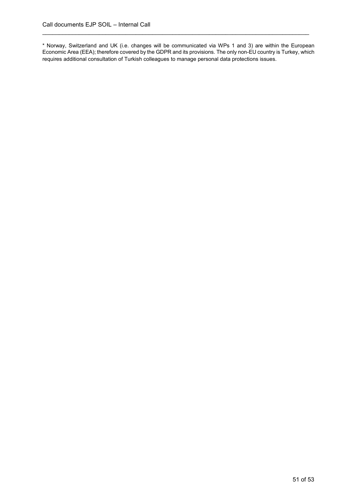\* Norway, Switzerland and UK (i.e. changes will be communicated via WPs 1 and 3) are within the European Economic Area (EEA); therefore covered by the GDPR and its provisions. The only non-EU country is Turkey, which requires additional consultation of Turkish colleagues to manage personal data protections issues.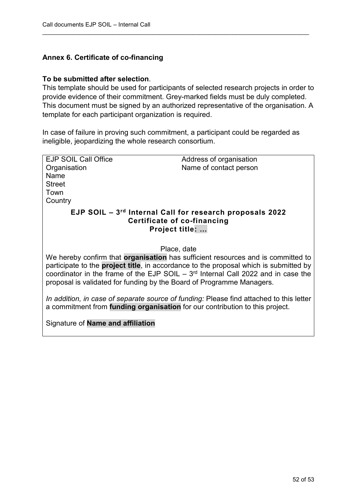# **Annex 6. Certificate of co-financing**

#### **To be submitted after selection**.

This template should be used for participants of selected research projects in order to provide evidence of their commitment. Grey-marked fields must be duly completed. This document must be signed by an authorized representative of the organisation. A template for each participant organization is required.

\_\_\_\_\_\_\_\_\_\_\_\_\_\_\_\_\_\_\_\_\_\_\_\_\_\_\_\_\_\_\_\_\_\_\_\_\_\_\_\_\_\_\_\_\_\_\_\_\_\_\_\_\_\_\_\_\_\_\_\_\_\_\_\_\_\_\_\_\_\_\_\_\_\_\_\_\_\_\_\_

In case of failure in proving such commitment, a participant could be regarded as ineligible, jeopardizing the whole research consortium.

| <b>EJP SOIL Call Office</b>                                                  | Address of organisation                                                                       |
|------------------------------------------------------------------------------|-----------------------------------------------------------------------------------------------|
| Organisation                                                                 | Name of contact person                                                                        |
| Name                                                                         |                                                                                               |
| <b>Street</b>                                                                |                                                                                               |
| Town                                                                         |                                                                                               |
|                                                                              |                                                                                               |
| Country                                                                      |                                                                                               |
|                                                                              | EJP SOIL - 3rd Internal Call for research proposals 2022                                      |
|                                                                              | Certificate of co-financing                                                                   |
|                                                                              |                                                                                               |
|                                                                              | Project title:                                                                                |
|                                                                              |                                                                                               |
|                                                                              | Place, date                                                                                   |
|                                                                              |                                                                                               |
|                                                                              | We hereby confirm that organisation has sufficient resources and is committed to              |
|                                                                              | participate to the <b>project title</b> , in accordance to the proposal which is submitted by |
|                                                                              | coordinator in the frame of the EJP SOIL $-3rd$ Internal Call 2022 and in case the            |
| proposal is validated for funding by the Board of Programme Managers.        |                                                                                               |
|                                                                              |                                                                                               |
|                                                                              |                                                                                               |
|                                                                              | In addition, in case of separate source of funding: Please find attached to this letter       |
| a commitment from funding organisation for our contribution to this project. |                                                                                               |
|                                                                              |                                                                                               |
| Signature of <b>Name and affiliation</b>                                     |                                                                                               |
|                                                                              |                                                                                               |